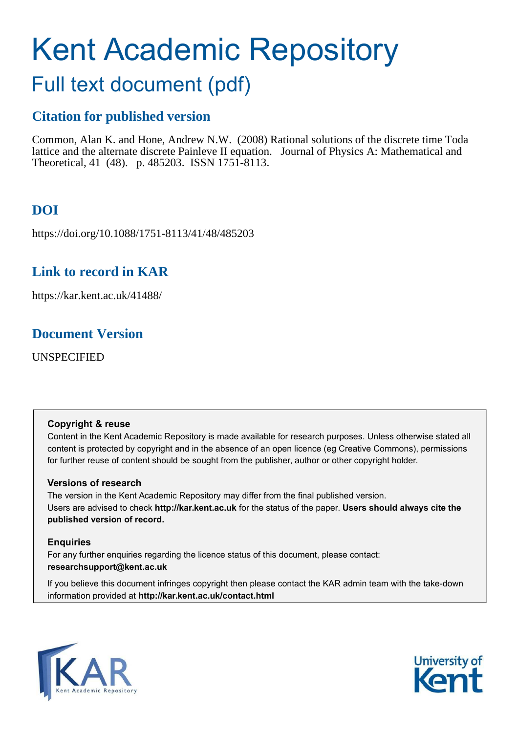# Kent Academic Repository

## Full text document (pdf)

## **Citation for published version**

Common, Alan K. and Hone, Andrew N.W. (2008) Rational solutions of the discrete time Toda lattice and the alternate discrete Painleve II equation. Journal of Physics A: Mathematical and Theoretical, 41 (48). p. 485203. ISSN 1751-8113.

## **DOI**

https://doi.org/10.1088/1751-8113/41/48/485203

## **Link to record in KAR**

https://kar.kent.ac.uk/41488/

## **Document Version**

UNSPECIFIED

#### **Copyright & reuse**

Content in the Kent Academic Repository is made available for research purposes. Unless otherwise stated all content is protected by copyright and in the absence of an open licence (eg Creative Commons), permissions for further reuse of content should be sought from the publisher, author or other copyright holder.

#### **Versions of research**

The version in the Kent Academic Repository may differ from the final published version. Users are advised to check **http://kar.kent.ac.uk** for the status of the paper. **Users should always cite the published version of record.**

#### **Enquiries**

For any further enquiries regarding the licence status of this document, please contact: **researchsupport@kent.ac.uk**

If you believe this document infringes copyright then please contact the KAR admin team with the take-down information provided at **http://kar.kent.ac.uk/contact.html**



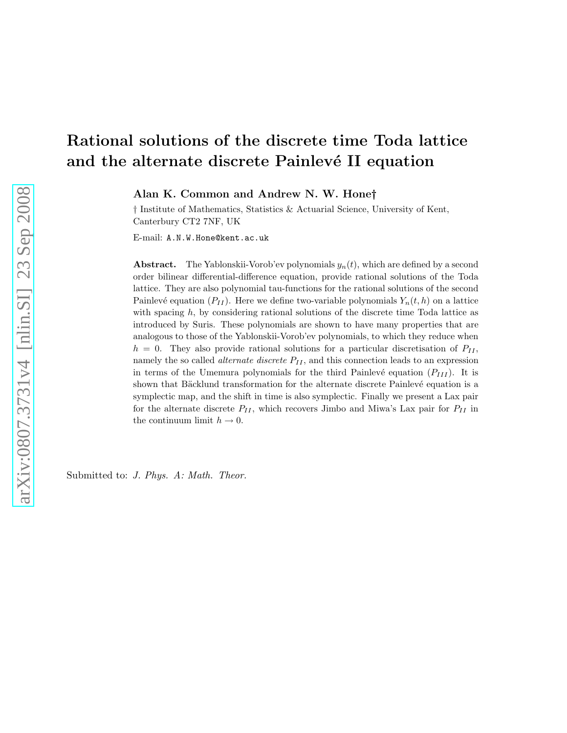## Rational solutions of the discrete time Toda lattice and the alternate discrete Painlevé II equation

<span id="page-1-0"></span>Alan K. Common and Andrew N. W. Hone†

† Institute of Mathematics, Statistics & Actuarial Science, University of Kent, Canterbury CT2 7NF, UK

E-mail: A.N.W.Hone@kent.ac.uk

**Abstract.** The Yablonskii-Vorob'ev polynomials  $y_n(t)$ , which are defined by a second order bilinear differential-difference equation, provide rational solutions of the Toda lattice. They are also polynomial tau-functions for the rational solutions of the second Painlevé equation  $(P_{II})$ . Here we define two-variable polynomials  $Y_n(t, h)$  on a lattice with spacing  $h$ , by considering rational solutions of the discrete time Toda lattice as introduced by Suris. These polynomials are shown to have many properties that are analogous to those of the Yablonskii-Vorob'ev polynomials, to which they reduce when  $h = 0$ . They also provide rational solutions for a particular discretisation of  $P_{II}$ , namely the so called *alternate discrete*  $P_{II}$ , and this connection leads to an expression in terms of the Umemura polynomials for the third Painlevé equation  $(P_{III})$ . It is shown that Bäcklund transformation for the alternate discrete Painlevé equation is a symplectic map, and the shift in time is also symplectic. Finally we present a Lax pair for the alternate discrete  $P_{II}$ , which recovers Jimbo and Miwa's Lax pair for  $P_{II}$  in the continuum limit  $h \to 0$ .

<span id="page-1-2"></span><span id="page-1-1"></span>Submitted to: *J. Phys. A: Math. Theor.*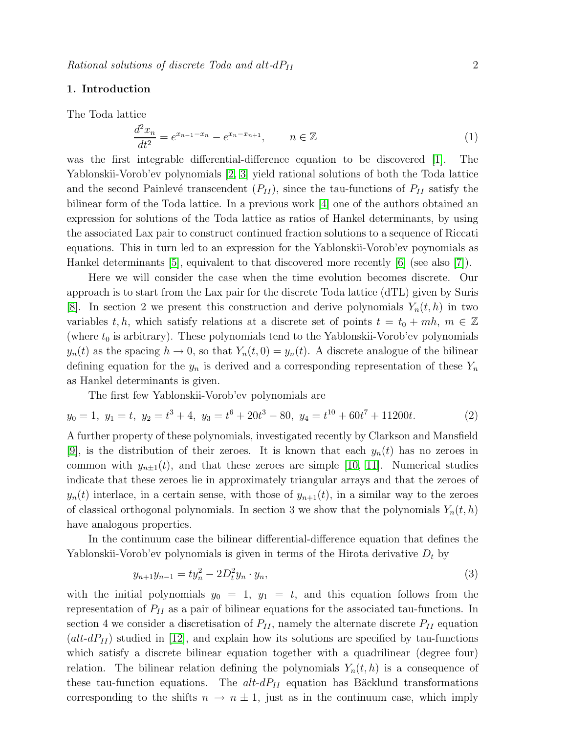#### 1. Introduction

The Toda lattice

$$
\frac{d^2x_n}{dt^2} = e^{x_{n-1} - x_n} - e^{x_n - x_{n+1}}, \qquad n \in \mathbb{Z}
$$
 (1)

was the first integrable differential-difference equation to be discovered [\[1\]](#page-21-0). The Yablonskii-Vorob'ev polynomials [\[2,](#page-21-1) [3\]](#page-21-2) yield rational solutions of both the Toda lattice and the second Painlevé transcendent  $(P_{II})$ , since the tau-functions of  $P_{II}$  satisfy the bilinear form of the Toda lattice. In a previous work [\[4\]](#page-21-3) one of the authors obtained an expression for solutions of the Toda lattice as ratios of Hankel determinants, by using the associated Lax pair to construct continued fraction solutions to a sequence of Riccati equations. This in turn led to an expression for the Yablonskii-Vorob'ev poynomials as Hankel determinants [\[5\]](#page-21-4), equivalent to that discovered more recently [\[6\]](#page-21-5) (see also [\[7\]](#page-21-6)).

Here we will consider the case when the time evolution becomes discrete. Our approach is to start from the Lax pair for the discrete Toda lattice (dTL) given by Suris [\[8\]](#page-21-7). In section 2 we present this construction and derive polynomials  $Y_n(t, h)$  in two variables t, h, which satisfy relations at a discrete set of points  $t = t_0 + mh$ ,  $m \in \mathbb{Z}$ (where  $t_0$  is arbitrary). These polynomials tend to the Yablonskii-Vorob'ev polynomials  $y_n(t)$  as the spacing  $h \to 0$ , so that  $Y_n(t, 0) = y_n(t)$ . A discrete analogue of the bilinear defining equation for the  $y_n$  is derived and a corresponding representation of these  $Y_n$ as Hankel determinants is given.

<span id="page-2-3"></span><span id="page-2-0"></span>The first few Yablonskii-Vorob'ev polynomials are

$$
y_0 = 1, y_1 = t, y_2 = t^3 + 4, y_3 = t^6 + 20t^3 - 80, y_4 = t^{10} + 60t^7 + 11200t.
$$
 (2)

A further property of these polynomials, investigated recently by Clarkson and Mansfield [\[9\]](#page-21-8), is the distribution of their zeroes. It is known that each  $y_n(t)$  has no zeroes in common with  $y_{n+1}(t)$ , and that these zeroes are simple [\[10,](#page-21-9) [11\]](#page-21-10). Numerical studies indicate that these zeroes lie in approximately triangular arrays and that the zeroes of  $y_n(t)$  interlace, in a certain sense, with those of  $y_{n+1}(t)$ , in a similar way to the zeroes of classical orthogonal polynomials. In section 3 we show that the polynomials  $Y_n(t, h)$ have analogous properties.

In the continuum case the bilinear differential-difference equation that defines the Yablonskii-Vorob'ev polynomials is given in terms of the Hirota derivative  $D_t$  by

<span id="page-2-2"></span><span id="page-2-1"></span>
$$
y_{n+1}y_{n-1} = ty_n^2 - 2D_t^2y_n \cdot y_n,
$$
\n(3)

with the initial polynomials  $y_0 = 1$ ,  $y_1 = t$ , and this equation follows from the representation of  $P_{II}$  as a pair of bilinear equations for the associated tau-functions. In section 4 we consider a discretisation of  $P_{II}$ , namely the alternate discrete  $P_{II}$  equation  $(alt-dP<sub>II</sub>)$  studied in [\[12\]](#page-21-11), and explain how its solutions are specified by tau-functions which satisfy a discrete bilinear equation together with a quadrilinear (degree four) relation. The bilinear relation defining the polynomials  $Y_n(t, h)$  is a consequence of these tau-function equations. The  $alt-dP<sub>II</sub>$  equation has Bäcklund transformations corresponding to the shifts  $n \to n \pm 1$ , just as in the continuum case, which imply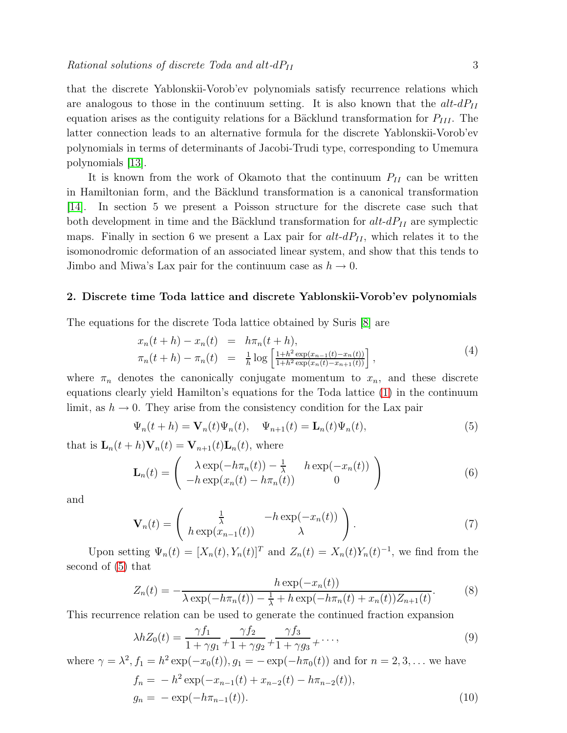that the discrete Yablonskii-Vorob'ev polynomials satisfy recurrence relations which are analogous to those in the continuum setting. It is also known that the  $alt-dP_{II}$ equation arises as the contiguity relations for a Bäcklund transformation for  $P_{III}$ . The latter connection leads to an alternative formula for the discrete Yablonskii-Vorob'ev polynomials in terms of determinants of Jacobi-Trudi type, corresponding to Umemura polynomials [\[13\]](#page-21-12).

<span id="page-3-0"></span>It is known from the work of Okamoto that the continuum  $P_{II}$  can be written in Hamiltonian form, and the Bäcklund transformation is a canonical transformation [\[14\]](#page-21-13). In section 5 we present a Poisson structure for the discrete case such that both development in time and the Bäcklund transformation for  $alt-dP<sub>II</sub>$  are symplectic maps. Finally in section 6 we present a Lax pair for  $alt\text{-}dP_{II}$ , which relates it to the isomonodromic deformation of an associated linear system, and show that this tends to Jimbo and Miwa's Lax pair for the continuum case as  $h \to 0$ .

#### <span id="page-3-4"></span>2. Discrete time Toda lattice and discrete Yablonskii-Vorob'ev polynomials

The equations for the discrete Toda lattice obtained by Suris [\[8\]](#page-21-7) are

<span id="page-3-1"></span>
$$
x_n(t+h) - x_n(t) = h\pi_n(t+h),
$$
  
\n
$$
\pi_n(t+h) - \pi_n(t) = \frac{1}{h} \log \left[ \frac{1+h^2 \exp(x_{n-1}(t) - x_n(t))}{1+h^2 \exp(x_n(t) - x_{n+1}(t))} \right],
$$
\n(4)

where  $\pi_n$  denotes the canonically conjugate momentum to  $x_n$ , and these discrete equations clearly yield Hamilton's equations for the Toda lattice [\(1\)](#page-1-0) in the continuum limit, as  $h \to 0$ . They arise from the consistency condition for the Lax pair

$$
\Psi_n(t+h) = \mathbf{V}_n(t)\Psi_n(t), \quad \Psi_{n+1}(t) = \mathbf{L}_n(t)\Psi_n(t), \tag{5}
$$

that is  $\mathbf{L}_n(t+h)\mathbf{V}_n(t) = \mathbf{V}_{n+1}(t)\mathbf{L}_n(t)$ , where

$$
\mathbf{L}_n(t) = \begin{pmatrix} \lambda \exp(-h\pi_n(t)) - \frac{1}{\lambda} & h \exp(-x_n(t)) \\ -h \exp(x_n(t) - h\pi_n(t)) & 0 \end{pmatrix}
$$
(6)

and

<span id="page-3-5"></span>
$$
\mathbf{V}_n(t) = \begin{pmatrix} \frac{1}{\lambda} & -h \exp(-x_n(t)) \\ h \exp(x_{n-1}(t)) & \lambda \end{pmatrix}.
$$
 (7)

Upon setting  $\Psi_n(t) = [X_n(t), Y_n(t)]^T$  and  $Z_n(t) = X_n(t)Y_n(t)^{-1}$ , we find from the second of [\(5\)](#page-2-0) that

<span id="page-3-2"></span>
$$
Z_n(t) = -\frac{h \exp(-x_n(t))}{\lambda \exp(-h\pi_n(t)) - \frac{1}{\lambda} + h \exp(-h\pi_n(t) + x_n(t))Z_{n+1}(t)}.
$$
 (8)

This recurrence relation can be used to generate the continued fraction expansion

<span id="page-3-3"></span>
$$
\lambda h Z_0(t) = \frac{\gamma f_1}{1 + \gamma g_1} + \frac{\gamma f_2}{1 + \gamma g_2} + \frac{\gamma f_3}{1 + \gamma g_3} + \dots,
$$
\n(9)

where  $\gamma = \lambda^2$ ,  $f_1 = h^2 \exp(-x_0(t))$ ,  $g_1 = -\exp(-h\pi_0(t))$  and for  $n = 2, 3, ...$  we have  $f_n = -h^2 \exp(-x_{n-1}(t) + x_{n-2}(t) - h\pi_{n-2}(t)),$  $g_n = -\exp(-h\pi_{n-1}(t)).$  (10)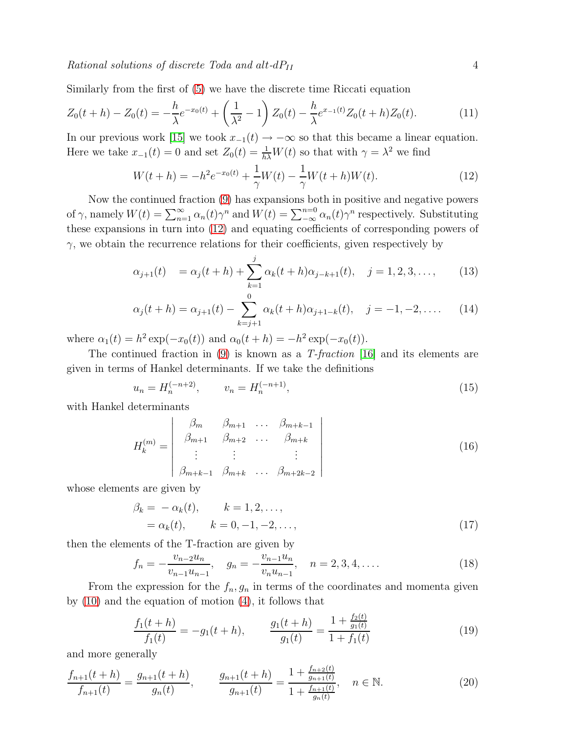Similarly from the first of [\(5\)](#page-2-0) we have the discrete time Riccati equation

$$
Z_0(t+h) - Z_0(t) = -\frac{h}{\lambda}e^{-x_0(t)} + \left(\frac{1}{\lambda^2} - 1\right)Z_0(t) - \frac{h}{\lambda}e^{x_{-1}(t)}Z_0(t+h)Z_0(t).
$$
 (11)

In our previous work [\[15\]](#page-21-14) we took  $x_{-1}(t) \to -\infty$  so that this became a linear equation. Here we take  $x_{-1}(t) = 0$  and set  $Z_0(t) = \frac{1}{h\lambda}W(t)$  so that with  $\gamma = \lambda^2$  we find

<span id="page-4-1"></span><span id="page-4-0"></span>
$$
W(t+h) = -h^2 e^{-x_0(t)} + \frac{1}{\gamma} W(t) - \frac{1}{\gamma} W(t+h)W(t).
$$
 (12)

Now the continued fraction [\(9\)](#page-2-1) has expansions both in positive and negative powers of  $\gamma$ , namely  $W(t) = \sum_{n=1}^{\infty} \alpha_n(t) \gamma^n$  and  $W(t) = \sum_{n=0}^{\infty} \alpha_n(t) \gamma^n$  respectively. Substituting these expansions in turn into [\(12\)](#page-3-0) and equating coefficients of corresponding powers of  $\gamma$ , we obtain the recurrence relations for their coefficients, given respectively by

$$
\alpha_{j+1}(t) = \alpha_j(t+h) + \sum_{k=1}^j \alpha_k(t+h)\alpha_{j-k+1}(t), \quad j = 1, 2, 3, \dots,
$$
 (13)

<span id="page-4-2"></span>
$$
\alpha_j(t+h) = \alpha_{j+1}(t) - \sum_{k=j+1}^0 \alpha_k(t+h)\alpha_{j+1-k}(t), \quad j = -1, -2, \dots \tag{14}
$$

where  $\alpha_1(t) = h^2 \exp(-x_0(t))$  and  $\alpha_0(t + h) = -h^2 \exp(-x_0(t))$ .

The continued fraction in [\(9\)](#page-2-1) is known as a T-fraction [\[16\]](#page-21-15) and its elements are given in terms of Hankel determinants. If we take the definitions

$$
u_n = H_n^{(-n+2)}, \qquad v_n = H_n^{(-n+1)}, \tag{15}
$$

with Hankel determinants

$$
H_k^{(m)} = \begin{vmatrix} \beta_m & \beta_{m+1} & \dots & \beta_{m+k-1} \\ \beta_{m+1} & \beta_{m+2} & \dots & \beta_{m+k} \\ \vdots & \vdots & & \vdots \\ \beta_{m+k-1} & \beta_{m+k} & \dots & \beta_{m+2k-2} \end{vmatrix}
$$
 (16)

whose elements are given by

<span id="page-4-3"></span>
$$
\beta_k = -\alpha_k(t), \qquad k = 1, 2, ..., \n= \alpha_k(t), \qquad k = 0, -1, -2, ..., \qquad (17)
$$

<span id="page-4-4"></span>then the elements of the T-fraction are given by

$$
f_n = -\frac{v_{n-2}u_n}{v_{n-1}u_{n-1}}, \quad g_n = -\frac{v_{n-1}u_n}{v_nu_{n-1}}, \quad n = 2, 3, 4, .... \tag{18}
$$

From the expression for the  $f_n, g_n$  in terms of the coordinates and momenta given by [\(10\)](#page-2-2) and the equation of motion [\(4\)](#page-2-3), it follows that

$$
\frac{f_1(t+h)}{f_1(t)} = -g_1(t+h), \qquad \frac{g_1(t+h)}{g_1(t)} = \frac{1 + \frac{f_2(t)}{g_1(t)}}{1 + f_1(t)}\tag{19}
$$

and more generally

$$
\frac{f_{n+1}(t+h)}{f_{n+1}(t)} = \frac{g_{n+1}(t+h)}{g_n(t)}, \qquad \frac{g_{n+1}(t+h)}{g_{n+1}(t)} = \frac{1 + \frac{f_{n+2}(t)}{g_{n+1}(t)}}{1 + \frac{f_{n+1}(t)}{g_n(t)}}, \quad n \in \mathbb{N}.
$$
\n(20)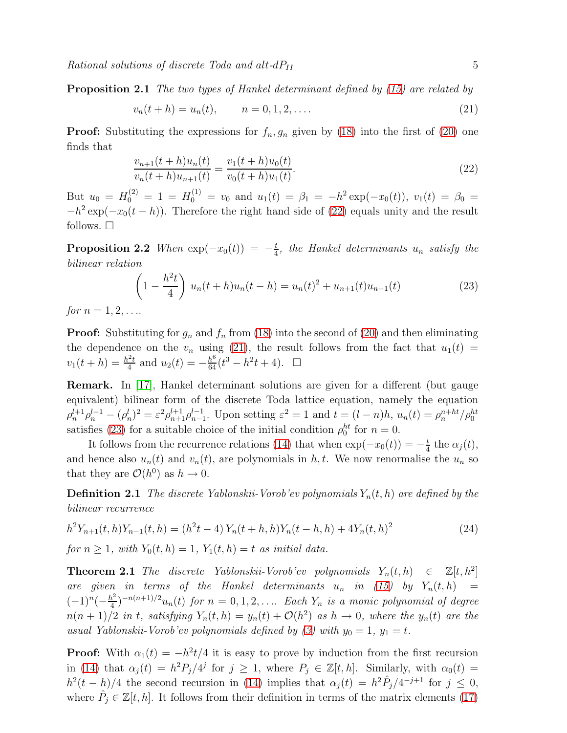**Proposition 2.1** The two types of Hankel determinant defined by [\(15\)](#page-3-1) are related by

$$
v_n(t+h) = u_n(t), \qquad n = 0, 1, 2, \dots
$$
\n(21)

**Proof:** Substituting the expressions for  $f_n, g_n$  given by [\(18\)](#page-3-2) into the first of [\(20\)](#page-3-3) one finds that

$$
\frac{v_{n+1}(t+h)u_n(t)}{v_n(t+h)u_{n+1}(t)} = \frac{v_1(t+h)u_0(t)}{v_0(t+h)u_1(t)}.\tag{22}
$$

But  $u_0 = H_0^{(2)} = 1 = H_0^{(1)} = v_0$  and  $u_1(t) = \beta_1 = -h^2 \exp(-x_0(t)), v_1(t) = \beta_0 =$  $-h^2 \exp(-x_0(t-h))$ . Therefore the right hand side of [\(22\)](#page-4-0) equals unity and the result follows.  $\square$ 

**Proposition 2.2** When  $\exp(-x_0(t)) = -\frac{t}{4}$  $\frac{t}{4}$ , the Hankel determinants  $u_n$  satisfy the bilinear relation

$$
\left(1 - \frac{h^2 t}{4}\right) u_n(t+h)u_n(t-h) = u_n(t)^2 + u_{n+1}(t)u_{n-1}(t)
$$
\n(23)

for  $n = 1, 2, ...$ 

**Proof:** Substituting for  $g_n$  and  $f_n$  from [\(18\)](#page-3-2) into the second of [\(20\)](#page-3-3) and then eliminating the dependence on the  $v_n$  using [\(21\)](#page-4-1), the result follows from the fact that  $u_1(t)$  $v_1(t+h) = \frac{h^2 t}{4}$  $\frac{a_2}{4}$  and  $u_2(t) = -\frac{h^6}{64}(t^3 - h^2t + 4)$ . □

<span id="page-5-0"></span>Remark. In [\[17\]](#page-21-16), Hankel determinant solutions are given for a different (but gauge equivalent) bilinear form of the discrete Toda lattice equation, namely the equation  $\rho_n^{l+1} \rho_n^{l-1} - (\rho_n^l)^2 = \varepsilon^2 \rho_{n+1}^{l+1} \rho_{n-1}^{l-1}$ . Upon setting  $\varepsilon^2 = 1$  and  $t = (l-n)h$ ,  $u_n(t) = \rho_n^{n+ht} / \rho_0^{ht}$ satisfies [\(23\)](#page-4-2) for a suitable choice of the initial condition  $\rho_0^{ht}$  for  $n = 0$ .

It follows from the recurrence relations [\(14\)](#page-3-4) that when  $\exp(-x_0(t)) = -\frac{t}{4}$  $\frac{t}{4}$  the  $\alpha_j(t)$ , and hence also  $u_n(t)$  and  $v_n(t)$ , are polynomials in h, t. We now renormalise the  $u_n$  so that they are  $\mathcal{O}(h^0)$  as  $h \to 0$ .

**Definition 2.1** The discrete Yablonskii-Vorob'ev polynomials  $Y_n(t, h)$  are defined by the bilinear recurrence

$$
h^{2}Y_{n+1}(t,h)Y_{n-1}(t,h) = (h^{2}t - 4)Y_{n}(t+h,h)Y_{n}(t-h,h) + 4Y_{n}(t,h)^{2}
$$
\n(24)

for  $n \geq 1$ , with  $Y_0(t, h) = 1$ ,  $Y_1(t, h) = t$  as initial data.

**Theorem 2.1** The discrete Yablonskii-Vorob'ev polynomials  $Y_n(t, h) \in \mathbb{Z}[t, h^2]$ are given in terms of the Hankel determinants  $u_n$  in [\(15\)](#page-3-1) by  $Y_n(t, h)$  =  $(-1)^n(-\frac{h^2}{4})$  $\frac{d^{2}}{4}$  $)^{-n(n+1)/2}$ u<sub>n</sub>(t) for  $n = 0, 1, 2, \ldots$  Each  $Y_n$  is a monic polynomial of degree  $n(n+1)/2$  in t, satisfying  $Y_n(t, h) = y_n(t) + \mathcal{O}(h^2)$  as  $h \to 0$ , where the  $y_n(t)$  are the usual Yablonskii-Vorob'ev polynomials defined by [\(3\)](#page-1-1) with  $y_0 = 1$ ,  $y_1 = t$ .

**Proof:** With  $\alpha_1(t) = -h^2t/4$  it is easy to prove by induction from the first recursion in [\(14\)](#page-3-4) that  $\alpha_j(t) = h^2 P_j/4^j$  for  $j \ge 1$ , where  $P_j \in \mathbb{Z}[t,h]$ . Similarly, with  $\alpha_0(t) =$  $h^2(t-h)/4$  the second recursion in [\(14\)](#page-3-4) implies that  $\alpha_j(t) = h^2 \hat{P}_j/4^{-j+1}$  for  $j \leq 0$ , where  $\hat{P}_j \in \mathbb{Z}[t, h]$ . It follows from their definition in terms of the matrix elements [\(17\)](#page-3-5)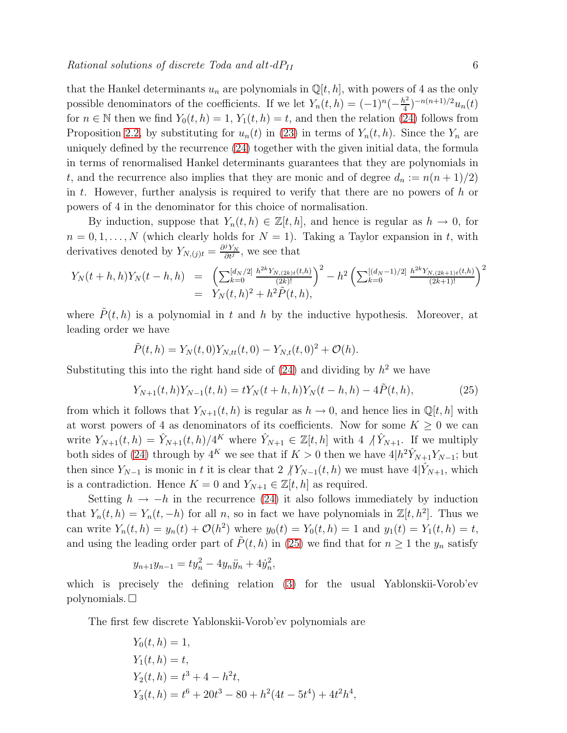that the Hankel determinants  $u_n$  are polynomials in  $\mathbb{Q}[t, h]$ , with powers of 4 as the only possible denominators of the coefficients. If we let  $Y_n(t, h) = (-1)^n(-\frac{h^2}{4})$  $\frac{u^2}{4}$ )<sup>-n(n+1)/2</sup> $u_n(t)$ for  $n \in \mathbb{N}$  then we find  $Y_0(t, h) = 1, Y_1(t, h) = t$ , and then the relation [\(24\)](#page-4-3) follows from Proposition [2.2,](#page-4-2) by substituting for  $u_n(t)$  in [\(23\)](#page-4-2) in terms of  $Y_n(t, h)$ . Since the  $Y_n$  are uniquely defined by the recurrence [\(24\)](#page-4-3) together with the given initial data, the formula in terms of renormalised Hankel determinants guarantees that they are polynomials in t, and the recurrence also implies that they are monic and of degree  $d_n := n(n+1)/2$ in t. However, further analysis is required to verify that there are no powers of  $h$  or powers of 4 in the denominator for this choice of normalisation.

By induction, suppose that  $Y_n(t, h) \in \mathbb{Z}[t, h]$ , and hence is regular as  $h \to 0$ , for  $n = 0, 1, \ldots, N$  (which clearly holds for  $N = 1$ ). Taking a Taylor expansion in t, with derivatives denoted by  $Y_{N,(j)t} = \frac{\partial^j Y_N}{\partial t^j}$  $\frac{\partial Y_N}{\partial t^j}$ , we see that

$$
Y_N(t+h,h)Y_N(t-h,h) = \left(\sum_{k=0}^{\lfloor d_N/2 \rfloor} \frac{h^{2k} Y_{N,(2k)t}(t,h)}{(2k)!}\right)^2 - h^2 \left(\sum_{k=0}^{\lfloor (d_N-1)/2 \rfloor} \frac{h^{2k} Y_{N,(2k+1)t}(t,h)}{(2k+1)!}\right)^2
$$
  
=  $Y_N(t,h)^2 + h^2 \tilde{P}(t,h),$ 

where  $\tilde{P}(t, h)$  is a polynomial in t and h by the inductive hypothesis. Moreover, at leading order we have

<span id="page-6-0"></span>
$$
\tilde{P}(t,h) = Y_N(t,0)Y_{N,tt}(t,0) - Y_{N,t}(t,0)^2 + \mathcal{O}(h).
$$

Substituting this into the right hand side of  $(24)$  and dividing by  $h^2$  we have

<span id="page-6-1"></span>
$$
Y_{N+1}(t,h)Y_{N-1}(t,h) = tY_N(t+h,h)Y_N(t-h,h) - 4\tilde{P}(t,h),
$$
\n(25)

from which it follows that  $Y_{N+1}(t, h)$  is regular as  $h \to 0$ , and hence lies in  $\mathbb{Q}[t, h]$  with at worst powers of 4 as denominators of its coefficients. Now for some  $K \geq 0$  we can write  $Y_{N+1}(t, h) = \hat{Y}_{N+1}(t, h)/4^K$  where  $\hat{Y}_{N+1} \in \mathbb{Z}[t, h]$  with  $4 \bigwedge \hat{Y}_{N+1}$ . If we multiply both sides of [\(24\)](#page-4-3) through by  $4^K$  we see that if  $K > 0$  then we have  $4|h^2\hat{Y}_{N+1}Y_{N-1}$ ; but then since  $Y_{N-1}$  is monic in t it is clear that 2  $/Y_{N-1}(t, h)$  we must have  $4|Y_{N+1}$ , which is a contradiction. Hence  $K = 0$  and  $Y_{N+1} \in \mathbb{Z}[t, h]$  as required.

Setting  $h \to -h$  in the recurrence [\(24\)](#page-4-3) it also follows immediately by induction that  $Y_n(t, h) = Y_n(t, -h)$  for all n, so in fact we have polynomials in  $\mathbb{Z}[t, h^2]$ . Thus we can write  $Y_n(t, h) = y_n(t) + \mathcal{O}(h^2)$  where  $y_0(t) = Y_0(t, h) = 1$  and  $y_1(t) = Y_1(t, h) = t$ , and using the leading order part of  $\tilde{P}(t, h)$  in [\(25\)](#page-5-0) we find that for  $n \geq 1$  the  $y_n$  satisfy

$$
y_{n+1}y_{n-1} = ty_n^2 - 4y_n\ddot{y}_n + 4\dot{y}_n^2,
$$

which is precisely the defining relation [\(3\)](#page-1-1) for the usual Yablonskii-Vorob'ev polynomials.  $\square$ 

The first few discrete Yablonskii-Vorob'ev polynomials are

$$
Y_0(t, h) = 1,
$$
  
\n
$$
Y_1(t, h) = t,
$$
  
\n
$$
Y_2(t, h) = t^3 + 4 - h^2t,
$$
  
\n
$$
Y_3(t, h) = t^6 + 20t^3 - 80 + h^2(4t - 5t^4) + 4t^2h^4,
$$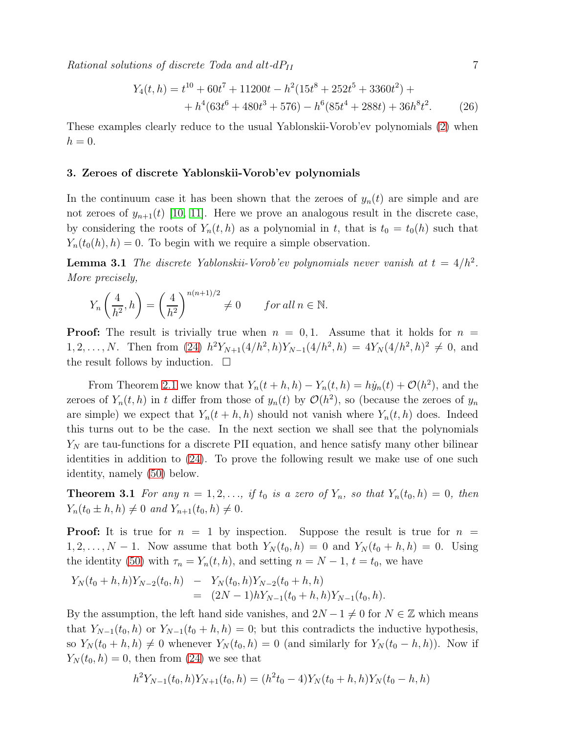$Rational solutions of discrete~Toda and alt-dP<sub>II</sub>$  7

$$
Y_4(t, h) = t^{10} + 60t^7 + 11200t - h^2(15t^8 + 252t^5 + 3360t^2) +
$$
  
+ 
$$
h^4(63t^6 + 480t^3 + 576) - h^6(85t^4 + 288t) + 36h^8t^2.
$$
 (26)

These examples clearly reduce to the usual Yablonskii-Vorob'ev polynomials [\(2\)](#page-1-2) when  $h=0.$ 

#### 3. Zeroes of discrete Yablonskii-Vorob'ev polynomials

In the continuum case it has been shown that the zeroes of  $y_n(t)$  are simple and are not zeroes of  $y_{n+1}(t)$  [\[10,](#page-21-9) [11\]](#page-21-10). Here we prove an analogous result in the discrete case, by considering the roots of  $Y_n(t, h)$  as a polynomial in t, that is  $t_0 = t_0(h)$  such that  $Y_n(t_0(h), h) = 0$ . To begin with we require a simple observation.

**Lemma 3.1** The discrete Yablonskii-Vorob'ev polynomials never vanish at  $t = 4/h^2$ . More precisely,

<span id="page-7-0"></span>
$$
Y_n\left(\frac{4}{h^2}, h\right) = \left(\frac{4}{h^2}\right)^{n(n+1)/2} \neq 0 \qquad \text{for all } n \in \mathbb{N}.
$$

**Proof:** The result is trivially true when  $n = 0, 1$ . Assume that it holds for  $n =$ 1, 2, ..., N. Then from [\(24\)](#page-4-3)  $h^2 Y_{N+1}(4/h^2, h) Y_{N-1}(4/h^2, h) = 4Y_N(4/h^2, h)^2 \neq 0$ , and the result follows by induction.  $\square$ 

<span id="page-7-3"></span>From Theorem [2.1](#page-4-4) we know that  $Y_n(t + h, h) - Y_n(t, h) = h\dot{y}_n(t) + \mathcal{O}(h^2)$ , and the zeroes of  $Y_n(t, h)$  in t differ from those of  $y_n(t)$  by  $\mathcal{O}(h^2)$ , so (because the zeroes of  $y_n$ are simple) we expect that  $Y_n(t+h,h)$  should not vanish where  $Y_n(t,h)$  does. Indeed this turns out to be the case. In the next section we shall see that the polynomials  $Y_N$  are tau-functions for a discrete PII equation, and hence satisfy many other bilinear identities in addition to [\(24\)](#page-4-3). To prove the following result we make use of one such identity, namely [\(50\)](#page-11-0) below.

**Theorem 3.1** For any  $n = 1, 2, \ldots$ , if  $t_0$  is a zero of  $Y_n$ , so that  $Y_n(t_0, h) = 0$ , then  $Y_n(t_0 \pm h, h) \neq 0$  and  $Y_{n+1}(t_0, h) \neq 0$ .

**Proof:** It is true for  $n = 1$  by inspection. Suppose the result is true for  $n =$  $1, 2, \ldots, N-1$ . Now assume that both  $Y_N(t_0, h) = 0$  and  $Y_N(t_0 + h, h) = 0$ . Using the identity [\(50\)](#page-11-0) with  $\tau_n = Y_n(t, h)$ , and setting  $n = N - 1$ ,  $t = t_0$ , we have

<span id="page-7-1"></span>
$$
Y_N(t_0+h,h)Y_{N-2}(t_0,h) - Y_N(t_0,h)Y_{N-2}(t_0+h,h)
$$
  
=  $(2N-1)hY_{N-1}(t_0+h,h)Y_{N-1}(t_0,h).$ 

By the assumption, the left hand side vanishes, and  $2N - 1 \neq 0$  for  $N \in \mathbb{Z}$  which means that  $Y_{N-1}(t_0, h)$  or  $Y_{N-1}(t_0 + h, h) = 0$ ; but this contradicts the inductive hypothesis, so  $Y_N(t_0 + h, h) \neq 0$  whenever  $Y_N(t_0, h) = 0$  (and similarly for  $Y_N(t_0 - h, h)$ ). Now if  $Y_N(t_0, h) = 0$ , then from [\(24\)](#page-4-3) we see that

<span id="page-7-2"></span>
$$
h^{2}Y_{N-1}(t_{0},h)Y_{N+1}(t_{0},h) = (h^{2}t_{0} - 4)Y_{N}(t_{0} + h,h)Y_{N}(t_{0} - h,h)
$$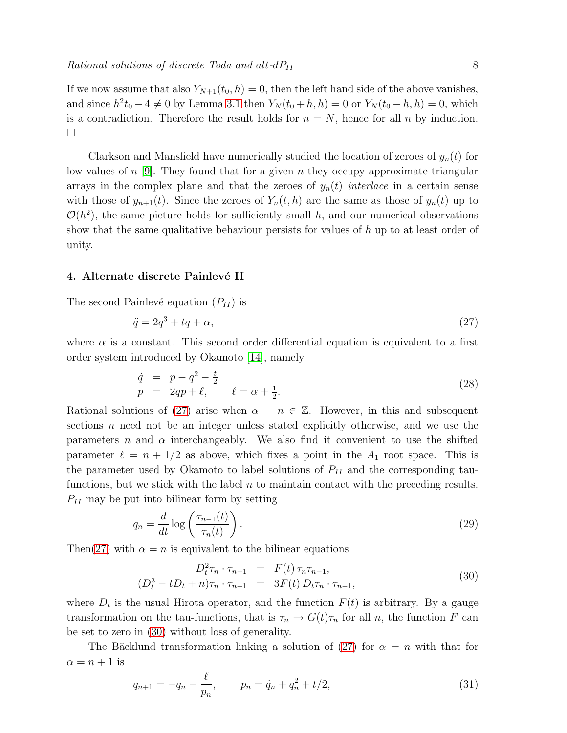<span id="page-8-4"></span>If we now assume that also  $Y_{N+1}(t_0, h) = 0$ , then the left hand side of the above vanishes, and since  $h^2 t_0 - 4 \neq 0$  by Lemma [3.1](#page-6-0) then  $Y_N(t_0 + h, h) = 0$  or  $Y_N(t_0 - h, h) = 0$ , which is a contradiction. Therefore the result holds for  $n = N$ , hence for all n by induction.  $\Box$ 

<span id="page-8-1"></span><span id="page-8-0"></span>Clarkson and Mansfield have numerically studied the location of zeroes of  $y_n(t)$  for low values of  $n$  [\[9\]](#page-21-8). They found that for a given  $n$  they occupy approximate triangular arrays in the complex plane and that the zeroes of  $y_n(t)$  interlace in a certain sense with those of  $y_{n+1}(t)$ . Since the zeroes of  $Y_n(t, h)$  are the same as those of  $y_n(t)$  up to  $\mathcal{O}(h^2)$ , the same picture holds for sufficiently small h, and our numerical observations show that the same qualitative behaviour persists for values of  $h$  up to at least order of unity.

#### 4. Alternate discrete Painlevé II

The second Painlevé equation  $(P_{II})$  is

$$
\ddot{q} = 2q^3 + tq + \alpha,\tag{27}
$$

where  $\alpha$  is a constant. This second order differential equation is equivalent to a first order system introduced by Okamoto [\[14\]](#page-21-13), namely

$$
\dot{q} = p - q^2 - \frac{t}{2} \n\dot{p} = 2qp + \ell, \qquad \ell = \alpha + \frac{1}{2}.
$$
\n(28)

Rational solutions of [\(27\)](#page-7-0) arise when  $\alpha = n \in \mathbb{Z}$ . However, in this and subsequent sections n need not be an integer unless stated explicitly otherwise, and we use the parameters n and  $\alpha$  interchangeably. We also find it convenient to use the shifted parameter  $\ell = n + 1/2$  as above, which fixes a point in the  $A_1$  root space. This is the parameter used by Okamoto to label solutions of  $P_{II}$  and the corresponding taufunctions, but we stick with the label  $n$  to maintain contact with the preceding results.  $P_{II}$  may be put into bilinear form by setting

$$
q_n = \frac{d}{dt} \log \left( \frac{\tau_{n-1}(t)}{\tau_n(t)} \right). \tag{29}
$$

Then[\(27\)](#page-7-0) with  $\alpha = n$  is equivalent to the bilinear equations

<span id="page-8-3"></span>
$$
D_t^2 \tau_n \cdot \tau_{n-1} = F(t) \tau_n \tau_{n-1},
$$
  
\n
$$
(D_t^3 - tD_t + n)\tau_n \cdot \tau_{n-1} = 3F(t) D_t \tau_n \cdot \tau_{n-1},
$$
\n(30)

where  $D_t$  is the usual Hirota operator, and the function  $F(t)$  is arbitrary. By a gauge transformation on the tau-functions, that is  $\tau_n \to G(t)\tau_n$  for all n, the function F can be set to zero in [\(30\)](#page-7-1) without loss of generality.

<span id="page-8-2"></span>The Bäcklund transformation linking a solution of [\(27\)](#page-7-0) for  $\alpha = n$  with that for  $\alpha = n + 1$  is

$$
q_{n+1} = -q_n - \frac{\ell}{p_n}, \qquad p_n = \dot{q}_n + q_n^2 + t/2,
$$
\n(31)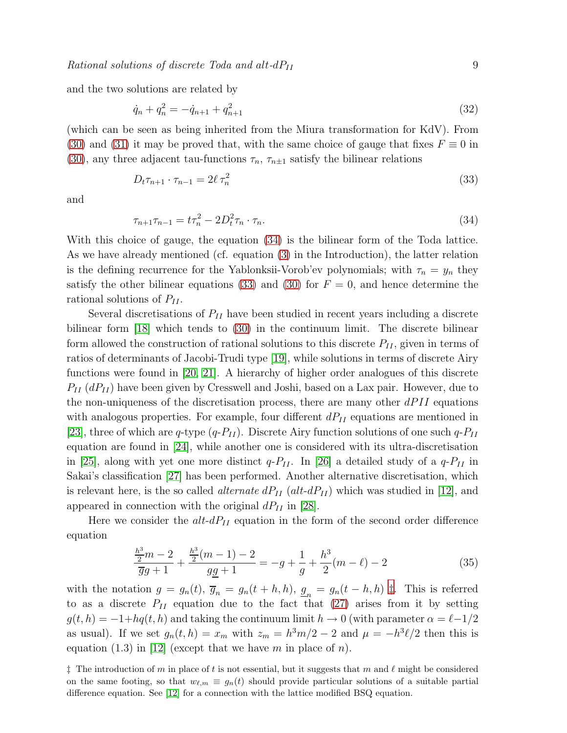and the two solutions are related by

$$
\dot{q}_n + q_n^2 = -\dot{q}_{n+1} + q_{n+1}^2 \tag{32}
$$

(which can be seen as being inherited from the Miura transformation for KdV). From [\(30\)](#page-7-1) and [\(31\)](#page-7-2) it may be proved that, with the same choice of gauge that fixes  $F \equiv 0$  in [\(30\)](#page-7-1), any three adjacent tau-functions  $\tau_n$ ,  $\tau_{n\pm 1}$  satisfy the bilinear relations

$$
D_t \tau_{n+1} \cdot \tau_{n-1} = 2\ell \tau_n^2 \tag{33}
$$

and

<span id="page-9-1"></span><span id="page-9-0"></span>
$$
\tau_{n+1}\tau_{n-1} = t\tau_n^2 - 2D_t^2\tau_n \cdot \tau_n.
$$
\n(34)

With this choice of gauge, the equation [\(34\)](#page-8-0) is the bilinear form of the Toda lattice. As we have already mentioned (cf. equation [\(3\)](#page-1-1) in the Introduction), the latter relation is the defining recurrence for the Yablonksii-Vorob'ev polynomials; with  $\tau_n = y_n$  they satisfy the other bilinear equations [\(33\)](#page-8-1) and [\(30\)](#page-7-1) for  $F = 0$ , and hence determine the rational solutions of  $P_{II}$ .

Several discretisations of  $P_{II}$  have been studied in recent years including a discrete bilinear form [\[18\]](#page-21-17) which tends to [\(30\)](#page-7-1) in the continuum limit. The discrete bilinear form allowed the construction of rational solutions to this discrete  $P_{II}$ , given in terms of ratios of determinants of Jacobi-Trudi type [\[19\]](#page-21-18), while solutions in terms of discrete Airy functions were found in [\[20,](#page-21-19) [21\]](#page-21-20). A hierarchy of higher order analogues of this discrete  $P_{II}$  ( $dP_{II}$ ) have been given by Cresswell and Joshi, based on a Lax pair. However, due to the non-uniqueness of the discretisation process, there are many other  $dPII$  equations with analogous properties. For example, four different  $dP_{II}$  equations are mentioned in [\[23\]](#page-22-0), three of which are q-type  $(q-P_{II})$ . Discrete Airy function solutions of one such  $q-P_{II}$ equation are found in [\[24\]](#page-22-1), while another one is considered with its ultra-discretisation in [\[25\]](#page-22-2), along with yet one more distinct  $q-P_{II}$ . In [\[26\]](#page-22-3) a detailed study of a  $q-P_{II}$  in Sakai's classification [\[27\]](#page-22-4) has been performed. Another alternative discretisation, which is relevant here, is the so called *alternate*  $dP_{II}$  ( $alt-dP_{II}$ ) which was studied in [\[12\]](#page-21-11), and appeared in connection with the original  $dP_{II}$  in [\[28\]](#page-22-5).

<span id="page-9-5"></span>Here we consider the  $alt-dP_{II}$  equation in the form of the second order difference equation

<span id="page-9-4"></span><span id="page-9-3"></span><span id="page-9-2"></span>
$$
\frac{\frac{h^3}{2}m - 2}{\overline{g}g + 1} + \frac{\frac{h^3}{2}(m - 1) - 2}{gg + 1} = -g + \frac{1}{g} + \frac{h^3}{2}(m - \ell) - 2\tag{35}
$$

<span id="page-9-7"></span>with the notation  $g = g_n(t)$ ,  $\overline{g}_n = g_n(t+h,h)$ ,  $\underline{g}_n = g_n(t-h,h)$  [‡](#page-8-2). This is referred to as a discrete  $P_{II}$  equation due to the fact that  $(27)$  arises from it by setting  $g(t, h) = -1 + hq(t, h)$  and taking the continuum limit  $h \to 0$  (with parameter  $\alpha = \ell - 1/2$ as usual). If we set  $g_n(t, h) = x_m$  with  $z_m = h^3 m/2 - 2$  and  $\mu = -h^3 \ell/2$  then this is equation (1.3) in [\[12\]](#page-21-11) (except that we have m in place of n).

<span id="page-9-6"></span> $\ddagger$  The introduction of m in place of t is not essential, but it suggests that m and  $\ell$  might be considered on the same footing, so that  $w_{\ell,m} \equiv g_n(t)$  should provide particular solutions of a suitable partial difference equation. See [\[12\]](#page-21-11) for a connection with the lattice modified BSQ equation.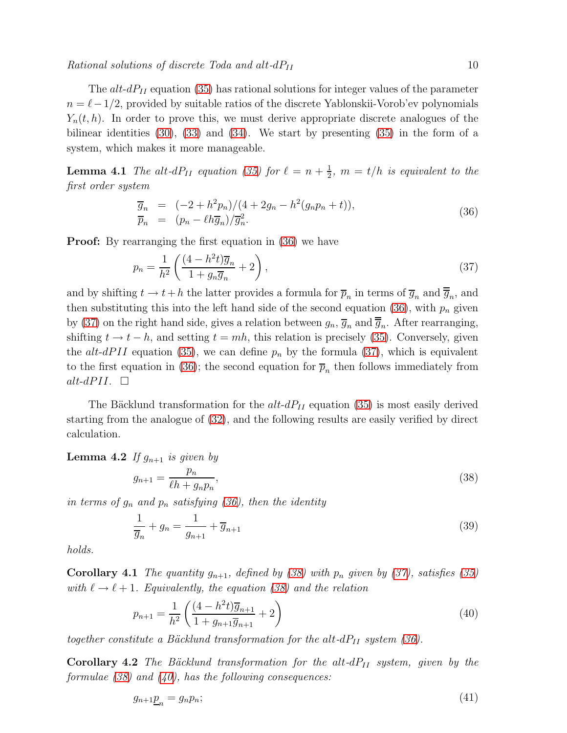<span id="page-10-4"></span><span id="page-10-3"></span>The  $alt\text{-}dP_{II}$  equation [\(35\)](#page-8-3) has rational solutions for integer values of the parameter  $n = \ell - 1/2$ , provided by suitable ratios of the discrete Yablonskii-Vorob'ev polynomials  $Y_n(t, h)$ . In order to prove this, we must derive appropriate discrete analogues of the bilinear identities  $(30)$ ,  $(33)$  and  $(34)$ . We start by presenting  $(35)$  in the form of a system, which makes it more manageable.

**Lemma 4.1** The alt-dP<sub>II</sub> equation [\(35\)](#page-8-3) for  $\ell = n + \frac{1}{2}$  $\frac{1}{2}$ ,  $m = t/h$  is equivalent to the first order system

$$
\overline{g}_n = (-2 + h^2 p_n) / (4 + 2g_n - h^2 (g_n p_n + t)), \n\overline{p}_n = (p_n - \ell h \overline{g}_n) / \overline{g}_n^2.
$$
\n(36)

<span id="page-10-5"></span>**Proof:** By rearranging the first equation in [\(36\)](#page-9-0) we have

<span id="page-10-0"></span>
$$
p_n = \frac{1}{h^2} \left( \frac{(4 - h^2 t)\overline{g}_n}{1 + g_n \overline{g}_n} + 2 \right),\tag{37}
$$

and by shifting  $t \to t+h$  the latter provides a formula for  $\overline{p}_n$  in terms of  $\overline{g}_n$  and  $\overline{g}_n$ , and then substituting this into the left hand side of the second equation [\(36\)](#page-9-0), with  $p_n$  given by [\(37\)](#page-9-1) on the right hand side, gives a relation between  $g_n$ ,  $\overline{g}_n$  and  $\overline{g}_n$ . After rearranging, shifting  $t \to t - h$ , and setting  $t = mh$ , this relation is precisely [\(35\)](#page-8-3). Conversely, given the alt-dPII equation [\(35\)](#page-8-3), we can define  $p_n$  by the formula [\(37\)](#page-9-1), which is equivalent to the first equation in [\(36\)](#page-9-0); the second equation for  $\overline{p}_n$  then follows immediately from alt-dPII.  $\Box$ 

<span id="page-10-1"></span>The Bäcklund transformation for the  $alt-dP_{II}$  equation [\(35\)](#page-8-3) is most easily derived starting from the analogue of [\(32\)](#page-8-4), and the following results are easily verified by direct calculation.

**Lemma 4.2** If  $g_{n+1}$  is given by

<span id="page-10-2"></span>
$$
g_{n+1} = \frac{p_n}{\ell h + g_n p_n},\tag{38}
$$

in terms of  $g_n$  and  $p_n$  satisfying [\(36\)](#page-9-0), then the identity

$$
\frac{1}{\overline{g}_n} + g_n = \frac{1}{g_{n+1}} + \overline{g}_{n+1}
$$
\n(39)

holds.

**Corollary 4.1** The quantity  $g_{n+1}$ , defined by [\(38\)](#page-9-2) with  $p_n$  given by [\(37\)](#page-9-1), satisfies [\(35\)](#page-8-3) with  $\ell \to \ell + 1$ . Equivalently, the equation [\(38\)](#page-9-2) and the relation

$$
p_{n+1} = \frac{1}{h^2} \left( \frac{(4 - h^2 t)\overline{g}_{n+1}}{1 + g_{n+1} \overline{g}_{n+1}} + 2 \right)
$$
(40)

together constitute a Bäcklund transformation for the alt- $dP_{II}$  system [\(36\)](#page-9-0).

**Corollary 4.2** The Bäcklund transformation for the alt- $dP_{II}$  system, given by the formulae  $(38)$  and  $(40)$ , has the following consequences:

$$
g_{n+1}\underline{p}_n = g_n p_n; \tag{41}
$$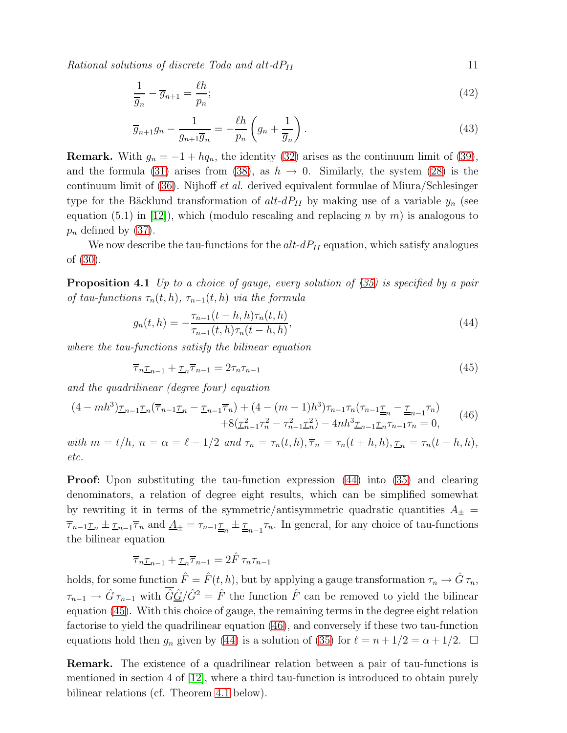$Rational solutions of discrete~Toda and alt-dP<sub>II</sub>$  11

$$
\frac{1}{\overline{g}_n} - \overline{g}_{n+1} = \frac{\ell h}{p_n};\tag{42}
$$

$$
\overline{g}_{n+1}g_n - \frac{1}{g_{n+1}\overline{g}_n} = -\frac{\ell h}{p_n} \left( g_n + \frac{1}{\overline{g}_n} \right).
$$
\n(43)

<span id="page-11-1"></span>**Remark.** With  $g_n = -1 + h q_n$ , the identity [\(32\)](#page-8-4) arises as the continuum limit of [\(39\)](#page-9-4), and the formula [\(31\)](#page-7-2) arises from [\(38\)](#page-9-2), as  $h \to 0$ . Similarly, the system [\(28\)](#page-7-3) is the continuum limit of [\(36\)](#page-9-0). Nijhoff et al. derived equivalent formulae of Miura/Schlesinger type for the Bäcklund transformation of  $alt-dP_{II}$  by making use of a variable  $y_n$  (see equation (5.1) in [\[12\]](#page-21-11)), which (modulo rescaling and replacing n by m) is analogous to  $p_n$  defined by [\(37\)](#page-9-1).

<span id="page-11-2"></span>We now describe the tau-functions for the  $alt-dP_{II}$  equation, which satisfy analogues of [\(30\)](#page-7-1).

**Proposition 4.1** Up to a choice of gauge, every solution of  $(35)$  is specified by a pair of tau-functions  $\tau_n(t, h)$ ,  $\tau_{n-1}(t, h)$  via the formula

<span id="page-11-4"></span><span id="page-11-3"></span>
$$
g_n(t,h) = -\frac{\tau_{n-1}(t-h,h)\tau_n(t,h)}{\tau_{n-1}(t,h)\tau_n(t-h,h)},
$$
\n(44)

where the tau-functions satisfy the bilinear equation

<span id="page-11-5"></span><span id="page-11-0"></span>
$$
\overline{\tau}_n \underline{\tau}_{n-1} + \underline{\tau}_n \overline{\tau}_{n-1} = 2\tau_n \tau_{n-1} \tag{45}
$$

and the quadrilinear (degree four) equation

$$
(4 - mh3)\underline{\tau}_{n-1}\underline{\tau}_n(\overline{\tau}_{n-1}\underline{\tau}_n - \underline{\tau}_{n-1}\overline{\tau}_n) + (4 - (m - 1)h3)\tau_{n-1}\tau_n(\tau_{n-1}\underline{\tau}_n - \underline{\tau}_{n-1}\tau_n) + 8(\underline{\tau}_{n-1}^2\tau_n^2 - \tau_{n-1}^2\underline{\tau}_n^2) - 4nh3\underline{\tau}_{n-1}\underline{\tau}_n\tau_{n-1}\tau_n = 0,
$$
\n(46)

with  $m = t/h$ ,  $n = \alpha = \ell - 1/2$  and  $\tau_n = \tau_n(t, h), \overline{\tau}_n = \tau_n(t + h, h), \underline{\tau}_n = \tau_n(t - h, h)$ , etc.

Proof: Upon substituting the tau-function expression [\(44\)](#page-10-0) into [\(35\)](#page-8-3) and clearing denominators, a relation of degree eight results, which can be simplified somewhat by rewriting it in terms of the symmetric/antisymmetric quadratic quantities  $A_{\pm}$  =  $\overline{\tau}_{n-1}\underline{\tau}_n \pm \underline{\tau}_{n-1}\overline{\tau}_n$  and  $\underline{A}_{\pm} = \tau_{n-1}\underline{\tau}_n \pm \underline{\tau}_{n-1}\tau_n$ . In general, for any choice of tau-functions the bilinear equation

$$
\overline{\tau}_n \underline{\tau}_{n-1} + \underline{\tau}_n \overline{\tau}_{n-1} = 2\hat{F} \tau_n \tau_{n-1}
$$

holds, for some function  $\hat{F} = \hat{F}(t, h)$ , but by applying a gauge transformation  $\tau_n \to \hat{G} \tau_n$ ,  $\tau_{n-1} \to \hat{G} \tau_{n-1}$  with  $\hat{G}\hat{G}/\hat{G}^2 = \hat{F}$  the function  $\hat{F}$  can be removed to yield the bilinear equation [\(45\)](#page-10-1). With this choice of gauge, the remaining terms in the degree eight relation factorise to yield the quadrilinear equation [\(46\)](#page-10-2), and conversely if these two tau-function equations hold then  $g_n$  given by [\(44\)](#page-10-0) is a solution of [\(35\)](#page-8-3) for  $\ell = n + 1/2 = \alpha + 1/2$ .  $\Box$ 

Remark. The existence of a quadrilinear relation between a pair of tau-functions is mentioned in section 4 of [\[12\]](#page-21-11), where a third tau-function is introduced to obtain purely bilinear relations (cf. Theorem [4.1](#page-11-1) below).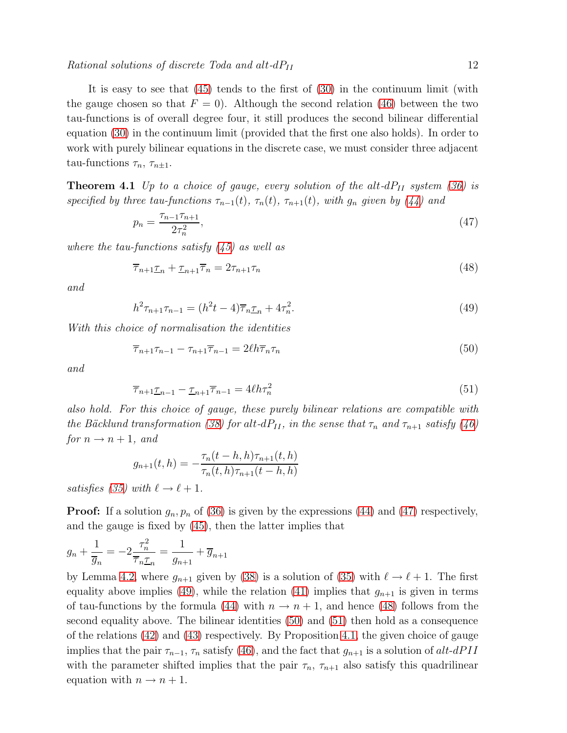It is easy to see that [\(45\)](#page-10-1) tends to the first of [\(30\)](#page-7-1) in the continuum limit (with the gauge chosen so that  $F = 0$ . Although the second relation [\(46\)](#page-10-2) between the two tau-functions is of overall degree four, it still produces the second bilinear differential equation [\(30\)](#page-7-1) in the continuum limit (provided that the first one also holds). In order to work with purely bilinear equations in the discrete case, we must consider three adjacent tau-functions  $\tau_n$ ,  $\tau_{n\pm 1}$ .

**Theorem 4.1** Up to a choice of gauge, every solution of the alt- $dP_{II}$  system [\(36\)](#page-9-0) is specified by three tau-functions  $\tau_{n-1}(t)$ ,  $\tau_n(t)$ ,  $\tau_{n+1}(t)$ , with  $g_n$  given by [\(44\)](#page-10-0) and

$$
p_n = \frac{\tau_{n-1}\tau_{n+1}}{2\tau_n^2},\tag{47}
$$

where the tau-functions satisfy  $(45)$  as well as

$$
\overline{\tau}_{n+1}\underline{\tau}_n + \underline{\tau}_{n+1}\overline{\tau}_n = 2\tau_{n+1}\tau_n \tag{48}
$$

and

$$
h^2 \tau_{n+1} \tau_{n-1} = (h^2 t - 4) \overline{\tau}_n \underline{\tau}_n + 4 \tau_n^2.
$$
 (49)

<span id="page-12-0"></span>With this choice of normalisation the identities

$$
\overline{\tau}_{n+1}\tau_{n-1} - \tau_{n+1}\overline{\tau}_{n-1} = 2\ell h \overline{\tau}_n \tau_n \tag{50}
$$

and

$$
\overline{\tau}_{n+1} \underline{\tau}_{n-1} - \underline{\tau}_{n+1} \overline{\tau}_{n-1} = 4\ell h \tau_n^2 \tag{51}
$$

also hold. For this choice of gauge, these purely bilinear relations are compatible with the Bäcklund transformation [\(38\)](#page-9-2) for alt-dP<sub>II</sub>, in the sense that  $\tau_n$  and  $\tau_{n+1}$  satisfy [\(46\)](#page-10-2) for  $n \rightarrow n+1$ , and

$$
g_{n+1}(t,h) = -\frac{\tau_n(t-h,h)\tau_{n+1}(t,h)}{\tau_n(t,h)\tau_{n+1}(t-h,h)}
$$

satisfies [\(35\)](#page-8-3) with  $\ell \to \ell + 1$ .

**Proof:** If a solution  $g_n, p_n$  of [\(36\)](#page-9-0) is given by the expressions [\(44\)](#page-10-0) and [\(47\)](#page-11-2) respectively, and the gauge is fixed by [\(45\)](#page-10-1), then the latter implies that

$$
g_n + \frac{1}{\overline{g}_n} = -2\frac{\tau_n^2}{\overline{\tau}_n \underline{\tau}_n} = \frac{1}{g_{n+1}} + \overline{g}_{n+1}
$$

by Lemma [4.2,](#page-9-5) where  $g_{n+1}$  given by [\(38\)](#page-9-2) is a solution of [\(35\)](#page-8-3) with  $\ell \to \ell + 1$ . The first equality above implies [\(49\)](#page-11-3), while the relation [\(41\)](#page-9-6) implies that  $g_{n+1}$  is given in terms of tau-functions by the formula [\(44\)](#page-10-0) with  $n \to n+1$ , and hence [\(48\)](#page-11-4) follows from the second equality above. The bilinear identities [\(50\)](#page-11-0) and [\(51\)](#page-11-5) then hold as a consequence of the relations [\(42\)](#page-10-3) and [\(43\)](#page-10-4) respectively. By Proposition [4.1,](#page-10-5) the given choice of gauge implies that the pair  $\tau_{n-1}$ ,  $\tau_n$  satisfy [\(46\)](#page-10-2), and the fact that  $g_{n+1}$  is a solution of alt-dPII with the parameter shifted implies that the pair  $\tau_n$ ,  $\tau_{n+1}$  also satisfy this quadrilinear equation with  $n \to n+1$ .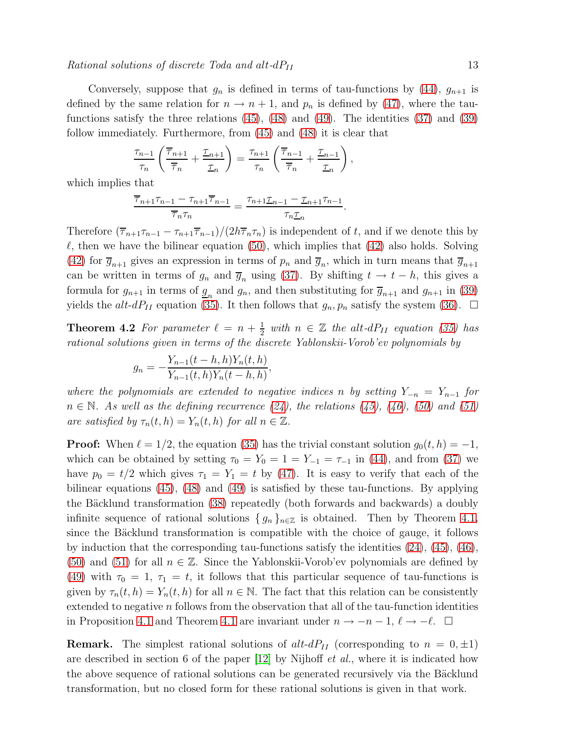#### Rational solutions of discrete Toda and alt- $dP_{II}$  13

Conversely, suppose that  $g_n$  is defined in terms of tau-functions by [\(44\)](#page-10-0),  $g_{n+1}$  is defined by the same relation for  $n \to n+1$ , and  $p_n$  is defined by [\(47\)](#page-11-2), where the taufunctions satisfy the three relations  $(45)$ ,  $(48)$  and  $(49)$ . The identities  $(37)$  and  $(39)$ follow immediately. Furthermore, from [\(45\)](#page-10-1) and [\(48\)](#page-11-4) it is clear that

<span id="page-13-0"></span>
$$
\frac{\tau_{n-1}}{\tau_n} \left( \frac{\overline{\tau}_{n+1}}{\overline{\tau}_n} + \frac{\underline{\tau}_{n+1}}{\underline{\tau}_n} \right) = \frac{\tau_{n+1}}{\tau_n} \left( \frac{\overline{\tau}_{n-1}}{\overline{\tau}_n} + \frac{\underline{\tau}_{n-1}}{\underline{\tau}_n} \right),
$$

which implies that

$$
\frac{\overline{\tau}_{n+1}\tau_{n-1}-\tau_{n+1}\overline{\tau}_{n-1}}{\overline{\tau}_n\tau_n}=\frac{\tau_{n+1}\underline{\tau}_{n-1}-\underline{\tau}_{n+1}\tau_{n-1}}{\tau_n\underline{\tau}_n}.
$$

Therefore  $(\overline{\tau}_{n+1}\tau_{n-1} - \tau_{n+1}\overline{\tau}_{n-1})/(2h\overline{\tau}_n\tau_n)$  is independent of t, and if we denote this by  $\ell$ , then we have the bilinear equation [\(50\)](#page-11-0), which implies that [\(42\)](#page-10-3) also holds. Solving [\(42\)](#page-10-3) for  $\overline{g}_{n+1}$  gives an expression in terms of  $p_n$  and  $\overline{g}_n$ , which in turn means that  $\overline{g}_{n+1}$ can be written in terms of  $g_n$  and  $\overline{g}_n$  using [\(37\)](#page-9-1). By shifting  $t \to t - h$ , this gives a formula for  $g_{n+1}$  in terms of  $g_n$  and  $g_n$ , and then substituting for  $\overline{g}_{n+1}$  and  $g_{n+1}$  in [\(39\)](#page-9-4) yields the alt-dP<sub>II</sub> equation [\(35\)](#page-8-3). It then follows that  $g_n, p_n$  satisfy the system [\(36\)](#page-9-0).  $\Box$ 

**Theorem 4.2** For parameter  $\ell = n + \frac{1}{2}$  $\frac{1}{2}$  with  $n \in \mathbb{Z}$  the alt-dP<sub>II</sub> equation [\(35\)](#page-8-3) has rational solutions given in terms of the discrete Yablonskii-Vorob'ev polynomials by

<span id="page-13-2"></span>
$$
g_n = -\frac{Y_{n-1}(t-h,h)Y_n(t,h)}{Y_{n-1}(t,h)Y_n(t-h,h)},
$$

<span id="page-13-3"></span>where the polynomials are extended to negative indices n by setting  $Y_{-n} = Y_{n-1}$  for  $n \in \mathbb{N}$ . As well as the defining recurrence [\(24\)](#page-4-3), the relations [\(45\)](#page-10-1), [\(46\)](#page-10-2), [\(50\)](#page-11-0) and [\(51\)](#page-11-5) are satisfied by  $\tau_n(t, h) = Y_n(t, h)$  for all  $n \in \mathbb{Z}$ .

<span id="page-13-1"></span>**Proof:** When  $\ell = 1/2$ , the equation [\(35\)](#page-8-3) has the trivial constant solution  $g_0(t, h) = -1$ , which can be obtained by setting  $\tau_0 = Y_0 = 1 = Y_{-1} = \tau_{-1}$  in [\(44\)](#page-10-0), and from [\(37\)](#page-9-1) we have  $p_0 = t/2$  which gives  $\tau_1 = Y_1 = t$  by [\(47\)](#page-11-2). It is easy to verify that each of the bilinear equations [\(45\)](#page-10-1), [\(48\)](#page-11-4) and [\(49\)](#page-11-3) is satisfied by these tau-functions. By applying the Bäcklund transformation [\(38\)](#page-9-2) repeatedly (both forwards and backwards) a doubly infinite sequence of rational solutions  $\{g_n\}_{n\in\mathbb{Z}}$  is obtained. Then by Theorem [4.1,](#page-11-1) since the Bäcklund transformation is compatible with the choice of gauge, it follows by induction that the corresponding tau-functions satisfy the identities [\(24\)](#page-4-3), [\(45\)](#page-10-1), [\(46\)](#page-10-2), [\(50\)](#page-11-0) and [\(51\)](#page-11-5) for all  $n \in \mathbb{Z}$ . Since the Yablonskii-Vorob'ev polynomials are defined by [\(49\)](#page-11-3) with  $\tau_0 = 1, \tau_1 = t$ , it follows that this particular sequence of tau-functions is given by  $\tau_n(t, h) = Y_n(t, h)$  for all  $n \in \mathbb{N}$ . The fact that this relation can be consistently extended to negative  $n$  follows from the observation that all of the tau-function identities in Proposition [4.1](#page-11-1) and Theorem 4.1 are invariant under  $n \to -n-1$ ,  $\ell \to -\ell$ .  $\Box$ 

**Remark.** The simplest rational solutions of  $alt-dP<sub>II</sub>$  (corresponding to  $n = 0, \pm 1$ ) are described in section 6 of the paper  $[12]$  by Nijhoff *et al.*, where it is indicated how the above sequence of rational solutions can be generated recursively via the Bäcklund transformation, but no closed form for these rational solutions is given in that work.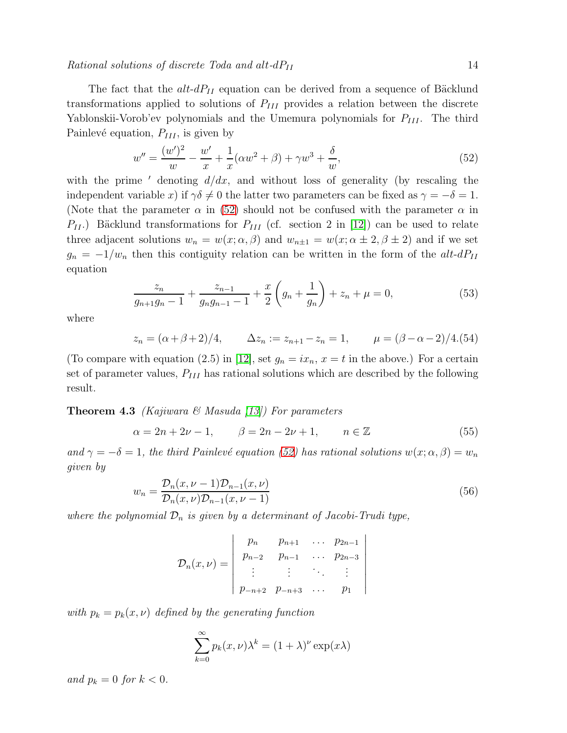Rational solutions of discrete Toda and alt- $dP_{II}$  14

The fact that the  $alt-dP_{II}$  equation can be derived from a sequence of Bäcklund transformations applied to solutions of  $P_{III}$  provides a relation between the discrete Yablonskii-Vorob'ev polynomials and the Umemura polynomials for  $P_{III}$ . The third Painlevé equation,  $P_{III}$ , is given by

$$
w'' = \frac{(w')^2}{w} - \frac{w'}{x} + \frac{1}{x}(\alpha w^2 + \beta) + \gamma w^3 + \frac{\delta}{w},\tag{52}
$$

<span id="page-14-1"></span>with the prime  $\prime$  denoting  $d/dx$ , and without loss of generality (by rescaling the independent variable x) if  $\gamma \delta \neq 0$  the latter two parameters can be fixed as  $\gamma = -\delta = 1$ . (Note that the parameter  $\alpha$  in [\(52\)](#page-13-0) should not be confused with the parameter  $\alpha$  in  $P_{II}$ .) Bäcklund transformations for  $P_{III}$  (cf. section 2 in [\[12\]](#page-21-11)) can be used to relate three adjacent solutions  $w_n = w(x; \alpha, \beta)$  and  $w_{n\pm 1} = w(x; \alpha \pm 2, \beta \pm 2)$  and if we set  $g_n = -1/w_n$  then this contiguity relation can be written in the form of the alt-dP<sub>II</sub> equation

<span id="page-14-0"></span>
$$
\frac{z_n}{g_{n+1}g_n - 1} + \frac{z_{n-1}}{g_n g_{n-1} - 1} + \frac{x}{2} \left( g_n + \frac{1}{g_n} \right) + z_n + \mu = 0,
$$
\n(53)

where

<span id="page-14-2"></span>
$$
z_n = (\alpha + \beta + 2)/4,
$$
  $\Delta z_n := z_{n+1} - z_n = 1,$   $\mu = (\beta - \alpha - 2)/4.(54)$ 

(To compare with equation (2.5) in [\[12\]](#page-21-11), set  $g_n = ix_n$ ,  $x = t$  in the above.) For a certain set of parameter values,  $P_{III}$  has rational solutions which are described by the following result.

**Theorem 4.3** (Kajiwara & Masuda [\[13\]](#page-21-12)) For parameters

$$
\alpha = 2n + 2\nu - 1,
$$
\n $\beta = 2n - 2\nu + 1,$ \n $n \in \mathbb{Z}$ \n(55)

and  $\gamma = -\delta = 1$ , the third Painlevé equation [\(52\)](#page-13-0) has rational solutions  $w(x; \alpha, \beta) = w_n$ given by

$$
w_n = \frac{\mathcal{D}_n(x, \nu - 1)\mathcal{D}_{n-1}(x, \nu)}{\mathcal{D}_n(x, \nu)\mathcal{D}_{n-1}(x, \nu - 1)}
$$
(56)

 $\overline{\phantom{a}}$  $\overline{\phantom{a}}$  $\overline{\phantom{a}}$  $\overline{\phantom{a}}$  $\overline{\phantom{a}}$  $\overline{\phantom{a}}$  $\overline{\phantom{a}}$  $\overline{\phantom{a}}$  $\vert$ 

where the polynomial  $\mathcal{D}_n$  is given by a determinant of Jacobi-Trudi type,

$$
\mathcal{D}_n(x,\nu) = \begin{vmatrix} p_n & p_{n+1} & \cdots & p_{2n-1} \\ p_{n-2} & p_{n-1} & \cdots & p_{2n-3} \\ \vdots & \vdots & \ddots & \vdots \\ p_{-n+2} & p_{-n+3} & \cdots & p_1 \end{vmatrix}
$$

with  $p_k = p_k(x, \nu)$  defined by the generating function

$$
\sum_{k=0}^{\infty} p_k(x,\nu)\lambda^k = (1+\lambda)^{\nu} \exp(x\lambda)
$$

and  $p_k = 0$  for  $k < 0$ .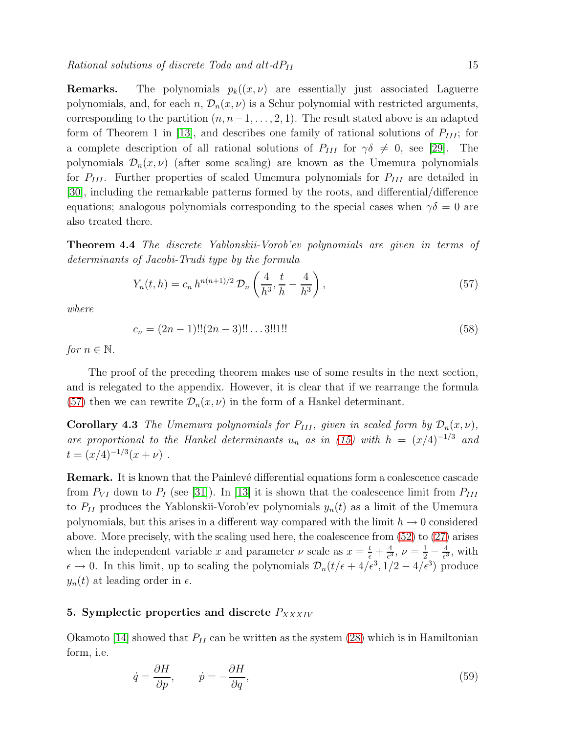**Remarks.** The polynomials  $p_k((x, \nu))$  are essentially just associated Laguerre polynomials, and, for each  $n, \mathcal{D}_n(x, \nu)$  is a Schur polynomial with restricted arguments, corresponding to the partition  $(n, n-1, \ldots, 2, 1)$ . The result stated above is an adapted form of Theorem 1 in [\[13\]](#page-21-12), and describes one family of rational solutions of  $P_{III}$ ; for a complete description of all rational solutions of  $P_{III}$  for  $\gamma\delta \neq 0$ , see [\[29\]](#page-22-6). The polynomials  $\mathcal{D}_n(x,\nu)$  (after some scaling) are known as the Umemura polynomials for  $P_{III}$ . Further properties of scaled Umemura polynomials for  $P_{III}$  are detailed in [\[30\]](#page-22-7), including the remarkable patterns formed by the roots, and differential/difference equations; analogous polynomials corresponding to the special cases when  $\gamma \delta = 0$  are also treated there.

Theorem 4.4 The discrete Yablonskii-Vorob'ev polynomials are given in terms of determinants of Jacobi-Trudi type by the formula

<span id="page-15-0"></span>
$$
Y_n(t,h) = c_n h^{n(n+1)/2} \mathcal{D}_n\left(\frac{4}{h^3}, \frac{t}{h} - \frac{4}{h^3}\right),\tag{57}
$$

where

<span id="page-15-2"></span>
$$
c_n = (2n - 1)!!(2n - 3)!! \dots 3!!1!! \tag{58}
$$

for  $n \in \mathbb{N}$ .

The proof of the preceding theorem makes use of some results in the next section, and is relegated to the appendix. However, it is clear that if we rearrange the formula [\(57\)](#page-14-0) then we can rewrite  $\mathcal{D}_n(x,\nu)$  in the form of a Hankel determinant.

**Corollary 4.3** The Umemura polynomials for  $P_{III}$ , given in scaled form by  $\mathcal{D}_n(x,\nu)$ , are proportional to the Hankel determinants  $u_n$  as in [\(15\)](#page-3-1) with  $h = (x/4)^{-1/3}$  and  $t = (x/4)^{-1/3}(x + \nu)$ .

<span id="page-15-3"></span>**Remark.** It is known that the Painlevé differential equations form a coalescence cascade from  $P_{VI}$  down to  $P_I$  (see [\[31\]](#page-22-8)). In [\[13\]](#page-21-12) it is shown that the coalescence limit from  $P_{III}$ to  $P_{II}$  produces the Yablonskii-Vorob'ev polynomials  $y_n(t)$  as a limit of the Umemura polynomials, but this arises in a different way compared with the limit  $h \to 0$  considered above. More precisely, with the scaling used here, the coalescence from [\(52\)](#page-13-0) to [\(27\)](#page-7-0) arises when the independent variable x and parameter  $\nu$  scale as  $x = \frac{t}{\epsilon} + \frac{4}{\epsilon^3}$  $\frac{4}{\epsilon^3}, \nu = \frac{1}{2} - \frac{4}{\epsilon^3}$  $\frac{4}{\epsilon^3}$ , with  $\epsilon \to 0$ . In this limit, up to scaling the polynomials  $\mathcal{D}_n(t/\epsilon + 4/\epsilon^3, 1/2 - 4/\epsilon^3)$  produce  $y_n(t)$  at leading order in  $\epsilon$ .

#### 5. Symplectic properties and discrete  $P_{XXXIV}$

Okamoto [\[14\]](#page-21-13) showed that  $P_{II}$  can be written as the system [\(28\)](#page-7-3) which is in Hamiltonian form, i.e.

<span id="page-15-1"></span>
$$
\dot{q} = \frac{\partial H}{\partial p}, \qquad \dot{p} = -\frac{\partial H}{\partial q}, \tag{59}
$$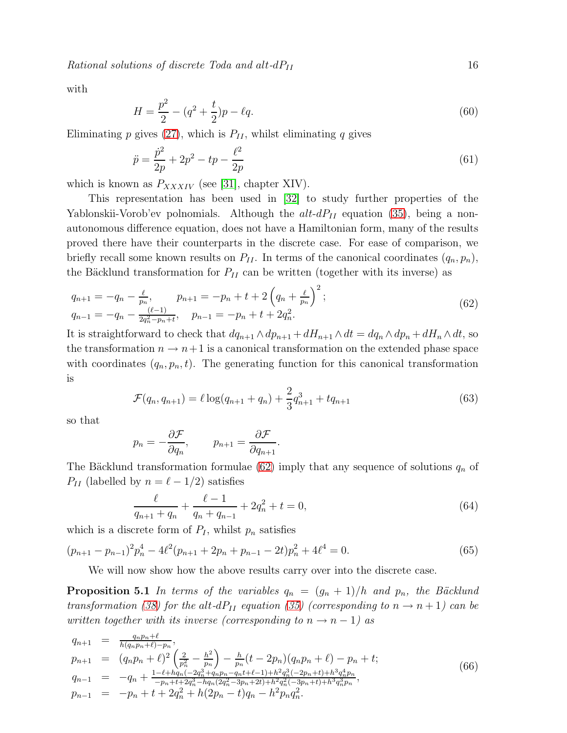$Rational solutions of discrete~Toda and alt-dP<sub>II</sub>$  16

with

<span id="page-16-0"></span>
$$
H = \frac{p^2}{2} - (q^2 + \frac{t}{2})p - \ell q. \tag{60}
$$

Eliminating p gives [\(27\)](#page-7-0), which is  $P_{II}$ , whilst eliminating q gives

$$
\ddot{p} = \frac{\dot{p}^2}{2p} + 2p^2 - tp - \frac{\ell^2}{2p} \tag{61}
$$

which is known as  $P_{XXXIV}$  (see [\[31\]](#page-22-8), chapter XIV).

This representation has been used in [\[32\]](#page-22-9) to study further properties of the Yablonskii-Vorob'ev polnomials. Although the  $alt-dP_{II}$  equation [\(35\)](#page-8-3), being a nonautonomous difference equation, does not have a Hamiltonian form, many of the results proved there have their counterparts in the discrete case. For ease of comparison, we briefly recall some known results on  $P_{II}$ . In terms of the canonical coordinates  $(q_n, p_n)$ , the Bäcklund transformation for  $P_{II}$  can be written (together with its inverse) as

$$
q_{n+1} = -q_n - \frac{\ell}{p_n}, \qquad p_{n+1} = -p_n + t + 2\left(q_n + \frac{\ell}{p_n}\right)^2;
$$
  
\n
$$
q_{n-1} = -q_n - \frac{(\ell-1)}{2q_n^2 - p_n + t}, \qquad p_{n-1} = -p_n + t + 2q_n^2.
$$
\n(62)

It is straightforward to check that  $dq_{n+1} \wedge dp_{n+1} + dH_{n+1} \wedge dt = dq_n \wedge dp_n + dH_n \wedge dt$ , so the transformation  $n \to n+1$  is a canonical transformation on the extended phase space with coordinates  $(q_n, p_n, t)$ . The generating function for this canonical transformation is

<span id="page-16-5"></span>
$$
\mathcal{F}(q_n, q_{n+1}) = \ell \log(q_{n+1} + q_n) + \frac{2}{3}q_{n+1}^3 + tq_{n+1}
$$
\n(63)

so that

<span id="page-16-1"></span>
$$
p_n = -\frac{\partial \mathcal{F}}{\partial q_n}, \qquad p_{n+1} = \frac{\partial \mathcal{F}}{\partial q_{n+1}}.
$$

The Bäcklund transformation formulae [\(62\)](#page-15-0) imply that any sequence of solutions  $q_n$  of  $P_{II}$  (labelled by  $n = \ell - 1/2$ ) satisfies

<span id="page-16-3"></span>
$$
\frac{\ell}{q_{n+1} + q_n} + \frac{\ell - 1}{q_n + q_{n-1}} + 2q_n^2 + t = 0,
$$
\n(64)

which is a discrete form of  $P_I$ , whilst  $p_n$  satisfies

$$
(p_{n+1} - p_{n-1})^2 p_n^4 - 4\ell^2 (p_{n+1} + 2p_n + p_{n-1} - 2t) p_n^2 + 4\ell^4 = 0.
$$
 (65)

<span id="page-16-2"></span>We will now show how the above results carry over into the discrete case.

**Proposition 5.1** In terms of the variables  $q_n = (g_n + 1)/h$  and  $p_n$ , the Bäcklund transformation [\(38\)](#page-9-2) for the alt-dP<sub>II</sub> equation [\(35\)](#page-8-3) (corresponding to  $n \rightarrow n+1$ ) can be written together with its inverse (corresponding to  $n \rightarrow n-1$ ) as

<span id="page-16-4"></span>
$$
q_{n+1} = \frac{q_n p_n + \ell}{h(q_n p_n + \ell) - p_n},
$$
  
\n
$$
p_{n+1} = (q_n p_n + \ell)^2 \left(\frac{2}{p_n^2} - \frac{h^2}{p_n}\right) - \frac{h}{p_n} (t - 2p_n)(q_n p_n + \ell) - p_n + t;
$$
  
\n
$$
q_{n-1} = -q_n + \frac{1 - \ell + hq_n(-2q_n^3 + q_n p_n - q_n t + \ell - 1) + h^2 q_n^3(-2p_n + t) + h^3 q_n^4 p_n}{-p_n + t + 2q_n^3 - hq_n(2q_n^2 - 3p_n + 2t) + h^2 q_n^2(-3p_n + t) + h^3 q_n^3 p_n},
$$
  
\n
$$
p_{n-1} = -p_n + t + 2q_n^2 + h(2p_n - t)q_n - h^2 p_n q_n^2.
$$
\n(66)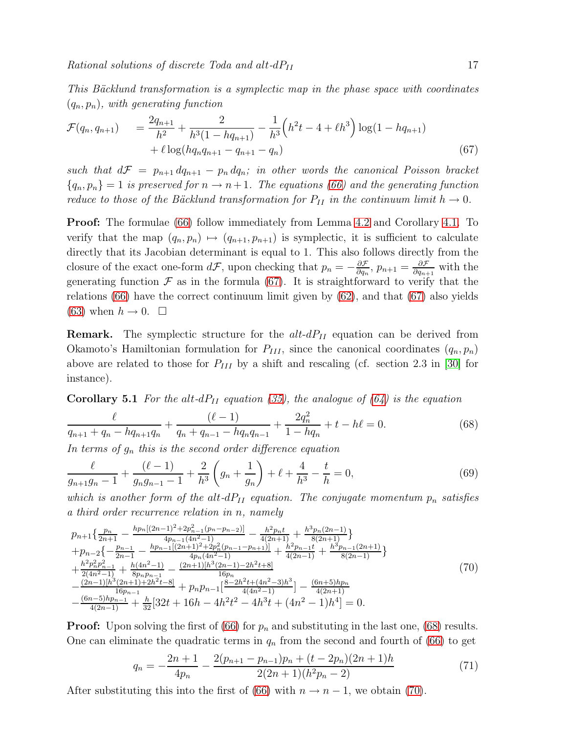This Bäcklund transformation is a symplectic map in the phase space with coordinates  $(q_n, p_n)$ , with generating function

$$
\mathcal{F}(q_n, q_{n+1}) = \frac{2q_{n+1}}{h^2} + \frac{2}{h^3(1 - hq_{n+1})} - \frac{1}{h^3} \left( h^2 t - 4 + \ell h^3 \right) \log(1 - hq_{n+1}) + \ell \log(hq_n q_{n+1} - q_{n+1} - q_n)
$$
\n(67)

such that  $d\mathcal{F} = p_{n+1} dq_{n+1} - p_n dq_n$ ; in other words the canonical Poisson bracket  ${q_n, p_n} = 1$  is preserved for  $n \to n+1$ . The equations [\(66\)](#page-15-1) and the generating function reduce to those of the Bäcklund transformation for  $P_{II}$  in the continuum limit  $h \to 0$ .

Proof: The formulae [\(66\)](#page-15-1) follow immediately from Lemma [4.2](#page-9-5) and Corollary [4.1.](#page-9-7) To verify that the map  $(q_n, p_n) \mapsto (q_{n+1}, p_{n+1})$  is symplectic, it is sufficient to calculate directly that its Jacobian determinant is equal to 1. This also follows directly from the closure of the exact one-form  $d\mathcal{F}$ , upon checking that  $p_n = -\frac{\partial \mathcal{F}}{\partial q_n}$  $\frac{\partial \mathcal{F}}{\partial q_n}, p_{n+1} = \frac{\partial \mathcal{F}}{\partial q_{n+1}}$  $\frac{\partial \mathcal{F}}{\partial q_{n+1}}$  with the generating function  $\mathcal F$  as in the formula [\(67\)](#page-16-0). It is straightforward to verify that the relations  $(66)$  have the correct continuum limit given by  $(62)$ , and that  $(67)$  also yields [\(63\)](#page-15-2) when  $h \to 0$ .  $\Box$ 

<span id="page-17-0"></span>**Remark.** The symplectic structure for the  $alt-dP_{II}$  equation can be derived from Okamoto's Hamiltonian formulation for  $P_{III}$ , since the canonical coordinates  $(q_n, p_n)$ above are related to those for  $P_{III}$  by a shift and rescaling (cf. section 2.3 in [\[30\]](#page-22-7) for instance).

**Corollary 5.1** For the alt-dP<sub>II</sub> equation [\(35\)](#page-8-3), the analogue of [\(64\)](#page-15-3) is the equation

$$
\frac{\ell}{q_{n+1} + q_n - hq_{n+1}q_n} + \frac{(\ell - 1)}{q_n + q_{n-1} - hq_nq_{n-1}} + \frac{2q_n^2}{1 - hq_n} + t - h\ell = 0.
$$
\n(68)

<span id="page-17-2"></span>In terms of  $g_n$  this is the second order difference equation

$$
\frac{\ell}{g_{n+1}g_n - 1} + \frac{(\ell - 1)}{g_ng_{n-1} - 1} + \frac{2}{h^3} \left( g_n + \frac{1}{g_n} \right) + \ell + \frac{4}{h^3} - \frac{t}{h} = 0,
$$
\n(69)

which is another form of the alt-d $P_{II}$  equation. The conjugate momentum  $p_n$  satisfies a third order recurrence relation in n, namely

<span id="page-17-1"></span>
$$
p_{n+1}\left\{\frac{p_n}{2n+1} - \frac{hp_n[(2n-1)^2 + 2p_{n-1}^2(p_n - p_{n-2})]}{4p_{n-1}(4n^2 - 1)} - \frac{h^2p_n t}{4(2n+1)} + \frac{h^3p_n(2n-1)}{8(2n+1)}\right\}
$$
  
+
$$
p_{n-2}\left\{-\frac{p_{n-1}}{2n-1} - \frac{hp_{n-1}[(2n+1)^2 + 2p_n^2(p_{n-1} - p_{n+1})]}{4p_n(4n^2 - 1)} + \frac{h^2p_{n-1}t}{4(2n-1)} + \frac{h^3p_{n-1}(2n+1)}{8(2n-1)}\right\}
$$
  
+
$$
\frac{h^2p_n^2p_{n-1}^2}{2(4n^2 - 1)} + \frac{h(4n^2 - 1)}{8p_np_{n-1}} - \frac{(2n+1)[h^3(2n-1) - 2h^2 t + 8]}{16p_n}
$$
  
-
$$
\frac{(2n-1)[h^3(2n+1) + 2h^2 t - 8]}{16p_{n-1}} + p_np_{n-1}\left[\frac{8-2h^2 t + (4n^2 - 3)h^3}{4(4n^2 - 1)}\right] - \frac{(6n+5)hp_n}{4(2n+1)}
$$
  
-
$$
\frac{(6n-5)hp_{n-1}}{4(2n-1)} + \frac{h}{32}[32t + 16h - 4h^2 t^2 - 4h^3 t + (4n^2 - 1)h^4] = 0.
$$
 (70)

**Proof:** Upon solving the first of [\(66\)](#page-15-1) for  $p_n$  and substituting in the last one, [\(68\)](#page-16-1) results. One can eliminate the quadratic terms in  $q_n$  from the second and fourth of [\(66\)](#page-15-1) to get

<span id="page-17-3"></span>
$$
q_n = -\frac{2n+1}{4p_n} - \frac{2(p_{n+1} - p_{n-1})p_n + (t - 2p_n)(2n+1)h}{2(2n+1)(h^2p_n - 2)}
$$
(71)

After substituting this into the first of [\(66\)](#page-15-1) with  $n \to n-1$ , we obtain [\(70\)](#page-16-2).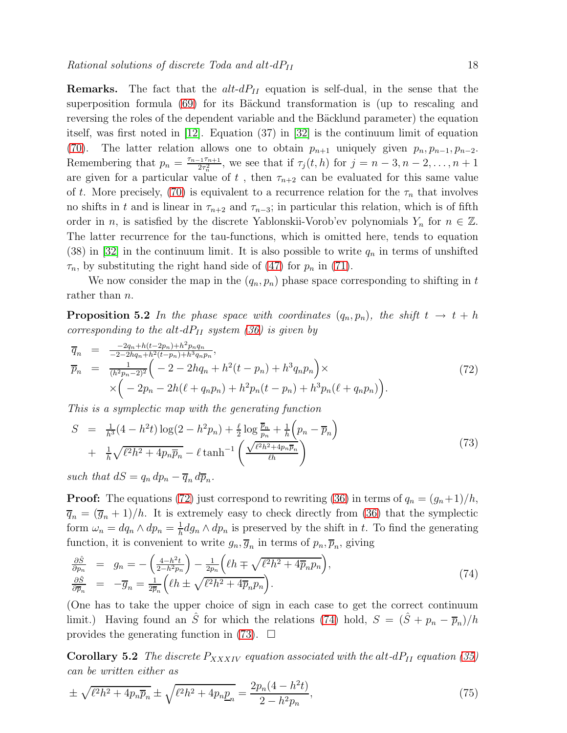**Remarks.** The fact that the  $alt-dP_{II}$  equation is self-dual, in the sense that the superposition formula [\(69\)](#page-16-3) for its Bäckund transformation is (up to rescaling and reversing the roles of the dependent variable and the Bäcklund parameter) the equation itself, was first noted in [\[12\]](#page-21-11). Equation (37) in [\[32\]](#page-22-9) is the continuum limit of equation [\(70\)](#page-16-2). The latter relation allows one to obtain  $p_{n+1}$  uniquely given  $p_n, p_{n-1}, p_{n-2}$ . Remembering that  $p_n = \frac{\tau_{n-1}\tau_{n+1}}{2\tau^2}$  $\frac{17n+1}{2\tau_n^2}$ , we see that if  $\tau_j(t, h)$  for  $j = n-3, n-2, \ldots, n+1$ are given for a particular value of t, then  $\tau_{n+2}$  can be evaluated for this same value of t. More precisely, [\(70\)](#page-16-2) is equivalent to a recurrence relation for the  $\tau_n$  that involves no shifts in t and is linear in  $\tau_{n+2}$  and  $\tau_{n-3}$ ; in particular this relation, which is of fifth order in n, is satisfied by the discrete Yablonskii-Vorob'ev polynomials  $Y_n$  for  $n \in \mathbb{Z}$ . The latter recurrence for the tau-functions, which is omitted here, tends to equation  $(38)$  in  $|32|$  in the continuum limit. It is also possible to write  $q_n$  in terms of unshifted  $\tau_n$ , by substituting the right hand side of [\(47\)](#page-11-2) for  $p_n$  in [\(71\)](#page-16-4).

We now consider the map in the  $(q_n, p_n)$  phase space corresponding to shifting in t rather than *n*.

**Proposition 5.2** In the phase space with coordinates  $(q_n, p_n)$ , the shift  $t \to t + h$ corresponding to the alt-dP<sub>II</sub> system [\(36\)](#page-9-0) is given by

<span id="page-18-1"></span>
$$
\overline{q}_n = \frac{-2q_n + h(t - 2p_n) + h^2 p_n q_n}{-2 - 2hq_n + h^2(t - p_n) + h^3 q_n p_n}, \n\overline{p}_n = \frac{1}{(h^2 p_n - 2)^2} \left( -2 - 2hq_n + h^2(t - p_n) + h^3 q_n p_n \right) \times \n\times \left( -2p_n - 2h(\ell + q_n p_n) + h^2 p_n(t - p_n) + h^3 p_n(\ell + q_n p_n) \right).
$$
\n(72)

This is a symplectic map with the generating function

$$
S = \frac{1}{h^3} (4 - h^2 t) \log(2 - h^2 p_n) + \frac{\ell}{2} \log \frac{\overline{p}_n}{p_n} + \frac{1}{h} \left( p_n - \overline{p}_n \right) + \frac{1}{h} \sqrt{\ell^2 h^2 + 4 p_n \overline{p}_n} - \ell \tanh^{-1} \left( \frac{\sqrt{\ell^2 h^2 + 4 p_n \overline{p}_n}}{\ell h} \right)
$$
(73)

<span id="page-18-3"></span>such that  $dS = q_n dp_n - \overline{q}_n d\overline{p}_n$ .

**Proof:** The equations [\(72\)](#page-17-0) just correspond to rewriting [\(36\)](#page-9-0) in terms of  $q_n = (g_n+1)/h$ ,  $\overline{q}_n = (\overline{g}_n + 1)/h$ . It is extremely easy to check directly from [\(36\)](#page-9-0) that the symplectic form  $\omega_n = dq_n \wedge dp_n = \frac{1}{h}$  $\frac{1}{h} dg_n \wedge dp_n$  is preserved by the shift in t. To find the generating function, it is convenient to write  $g_n, \overline{g}_n$  in terms of  $p_n, \overline{p}_n$ , giving

<span id="page-18-2"></span>
$$
\frac{\partial \hat{S}}{\partial p_n} = g_n = -\left(\frac{4-h^2t}{2-h^2p_n}\right) - \frac{1}{2p_n}\left(\ell h \mp \sqrt{\ell^2 h^2 + 4\overline{p}_n p_n}\right),
$$
\n
$$
\frac{\partial \hat{S}}{\partial \overline{p}_n} = -\overline{g}_n = \frac{1}{2\overline{p}_n}\left(\ell h \pm \sqrt{\ell^2 h^2 + 4\overline{p}_n p_n}\right).
$$
\n(74)

(One has to take the upper choice of sign in each case to get the correct continuum limit.) Having found an  $\hat{S}$  for which the relations [\(74\)](#page-17-1) hold,  $S = (\hat{S} + p_n - \overline{p}_n)/h$ provides the generating function in  $(73)$ .  $\Box$ 

**Corollary 5.2** The discrete  $P_{XXXIV}$  equation associated with the alt-d $P_{II}$  equation [\(35\)](#page-8-3) can be written either as

<span id="page-18-0"></span>
$$
\pm \sqrt{\ell^2 h^2 + 4p_n \overline{p}_n} \pm \sqrt{\ell^2 h^2 + 4p_n \underline{p}_n} = \frac{2p_n(4 - h^2 t)}{2 - h^2 p_n},\tag{75}
$$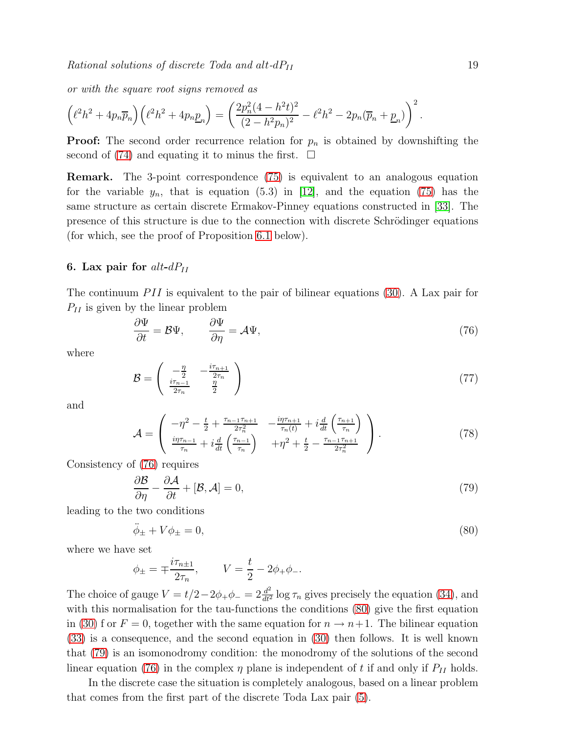$Rational solutions of discrete Toda and alt-dP<sub>II</sub>$  19

or with the square root signs removed as

<span id="page-19-0"></span>
$$
\left(\ell^2 h^2 + 4p_n \overline{p}_n\right) \left(\ell^2 h^2 + 4p_n \underline{p}_n\right) = \left(\frac{2p_n^2(4 - h^2t)^2}{(2 - h^2p_n)^2} - \ell^2 h^2 - 2p_n(\overline{p}_n + \underline{p}_n)\right)^2.
$$

**Proof:** The second order recurrence relation for  $p_n$  is obtained by downshifting the second of [\(74\)](#page-17-1) and equating it to minus the first.  $\Box$ 

Remark. The 3-point correspondence [\(75\)](#page-17-3) is equivalent to an analogous equation for the variable  $y_n$ , that is equation (5.3) in [\[12\]](#page-21-11), and the equation [\(75\)](#page-17-3) has the same structure as certain discrete Ermakov-Pinney equations constructed in [\[33\]](#page-22-10). The presence of this structure is due to the connection with discrete Schrödinger equations (for which, see the proof of Proposition [6.1](#page-18-0) below).

#### 6. Lax pair for  $alt-dP<sub>II</sub>$

The continuum  $PII$  is equivalent to the pair of bilinear equations [\(30\)](#page-7-1). A Lax pair for  $P_{II}$  is given by the linear problem

<span id="page-19-2"></span><span id="page-19-1"></span>
$$
\frac{\partial \Psi}{\partial t} = \mathcal{B}\Psi, \qquad \frac{\partial \Psi}{\partial \eta} = \mathcal{A}\Psi, \tag{76}
$$

where

$$
\mathcal{B} = \begin{pmatrix} -\frac{\eta}{2} & -\frac{i\tau_{n+1}}{2\tau_n} \\ \frac{i\tau_{n-1}}{2\tau_n} & \frac{\eta}{2} \end{pmatrix} \tag{77}
$$

and

$$
\mathcal{A} = \begin{pmatrix} -\eta^2 - \frac{t}{2} + \frac{\tau_{n-1}\tau_{n+1}}{2\tau_n^2} & -\frac{i\eta\tau_{n+1}}{\tau_n(t)} + i\frac{d}{dt}\left(\frac{\tau_{n+1}}{\tau_n}\right) \\ \frac{i\eta\tau_{n-1}}{\tau_n} + i\frac{d}{dt}\left(\frac{\tau_{n-1}}{\tau_n}\right) & +\eta^2 + \frac{t}{2} - \frac{\tau_{n-1}\tau_{n+1}}{2\tau_n^2} \end{pmatrix} . \tag{78}
$$

Consistency of [\(76\)](#page-18-1) requires

$$
\frac{\partial \mathcal{B}}{\partial \eta} - \frac{\partial \mathcal{A}}{\partial t} + [\mathcal{B}, \mathcal{A}] = 0,\tag{79}
$$

leading to the two conditions

$$
\ddot{\phi}_{\pm} + V\phi_{\pm} = 0,\tag{80}
$$

where we have set

$$
\phi_{\pm} = \mp \frac{i\tau_{n\pm 1}}{2\tau_n},
$$
\n $V = \frac{t}{2} - 2\phi_{+}\phi_{-}.$ 

The choice of gauge  $V = t/2 - 2\phi_+\phi_- = 2\frac{d^2}{dt^2}$  $\frac{d^2}{dt^2}$  log  $\tau_n$  gives precisely the equation [\(34\)](#page-8-0), and with this normalisation for the tau-functions the conditions  $(80)$  give the first equation in [\(30\)](#page-7-1) f or  $F = 0$ , together with the same equation for  $n \to n+1$ . The bilinear equation [\(33\)](#page-8-1) is a consequence, and the second equation in [\(30\)](#page-7-1) then follows. It is well known that [\(79\)](#page-18-3) is an isomonodromy condition: the monodromy of the solutions of the second linear equation [\(76\)](#page-18-1) in the complex  $\eta$  plane is independent of t if and only if  $P_{II}$  holds.

In the discrete case the situation is completely analogous, based on a linear problem that comes from the first part of the discrete Toda Lax pair [\(5\)](#page-2-0).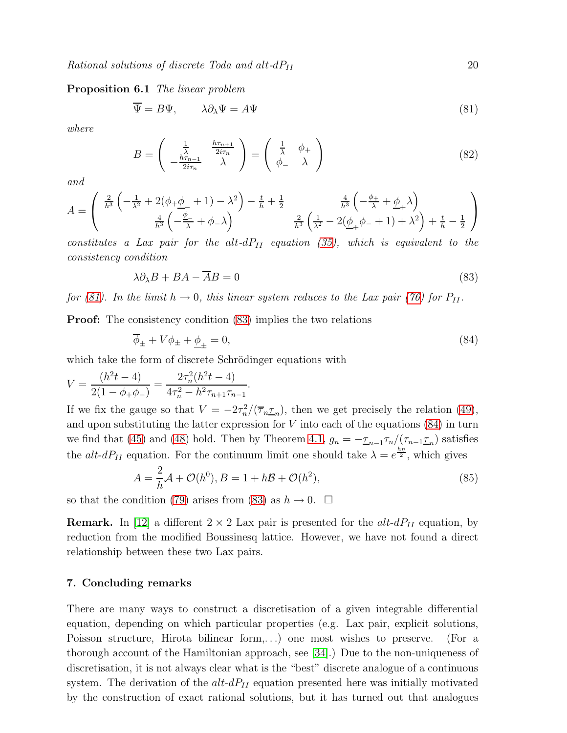Proposition 6.1 The linear problem

$$
\Psi = B\Psi, \qquad \lambda \partial_{\lambda} \Psi = A\Psi \tag{81}
$$

where

$$
B = \begin{pmatrix} \frac{1}{\lambda} & \frac{h\tau_{n+1}}{2i\tau_n} \\ -\frac{h\tau_{n-1}}{2i\tau_n} & \lambda \end{pmatrix} = \begin{pmatrix} \frac{1}{\lambda} & \phi_+ \\ \phi_- & \lambda \end{pmatrix}
$$
(82)

and

$$
A = \begin{pmatrix} \frac{2}{h^3} \left( -\frac{1}{\lambda^2} + 2(\phi_+ \phi_- + 1) - \lambda^2 \right) - \frac{t}{h} + \frac{1}{2} & \frac{4}{h^3} \left( -\frac{\phi_+}{\lambda} + \phi_+ \lambda \right) \\ \frac{4}{h^3} \left( -\frac{\phi_-}{\lambda} + \phi_- \lambda \right) & \frac{2}{h^3} \left( \frac{1}{\lambda^2} - 2(\phi_+ \phi_- + 1) + \lambda^2 \right) + \frac{t}{h} - \frac{1}{2} \end{pmatrix}
$$

constitutes a Lax pair for the alt- $dP_{II}$  equation [\(35\)](#page-8-3), which is equivalent to the consistency condition

$$
\lambda \partial_{\lambda} B + BA - \overline{A}B = 0 \tag{83}
$$

for [\(81\)](#page-19-0). In the limit  $h \to 0$ , this linear system reduces to the Lax pair [\(76\)](#page-18-1) for  $P_{II}$ .

**Proof:** The consistency condition  $(83)$  implies the two relations

$$
\overline{\phi}_{\pm} + V\phi_{\pm} + \underline{\phi}_{\pm} = 0,\tag{84}
$$

which take the form of discrete Schrödinger equations with

$$
V = \frac{(h^2t - 4)}{2(1 - \phi_+\phi_-)} = \frac{2\tau_n^2(h^2t - 4)}{4\tau_n^2 - h^2\tau_{n+1}\tau_{n-1}}.
$$

If we fix the gauge so that  $V = -2\tau_n^2/(\overline{\tau}_n \underline{\tau}_n)$ , then we get precisely the relation [\(49\)](#page-11-3), and upon substituting the latter expression for  $V$  into each of the equations  $(84)$  in turn we find that [\(45\)](#page-10-1) and [\(48\)](#page-11-4) hold. Then by Theorem [4.1,](#page-11-1)  $g_n = -\frac{\tau_{n-1}}{\tau_n} / (\tau_{n-1} \tau_n)$  satisfies the alt-dP<sub>II</sub> equation. For the continuum limit one should take  $\lambda = e^{\frac{h\eta}{2}}$ , which gives

<span id="page-20-0"></span>
$$
A = \frac{2}{h}\mathcal{A} + \mathcal{O}(h^0), B = 1 + h\mathcal{B} + \mathcal{O}(h^2),
$$
\n(85)

so that the condition [\(79\)](#page-18-3) arises from [\(83\)](#page-19-1) as  $h \to 0$ .  $\Box$ 

**Remark.** In [\[12\]](#page-21-11) a different  $2 \times 2$  Lax pair is presented for the  $alt-dP_{II}$  equation, by reduction from the modified Boussinesq lattice. However, we have not found a direct relationship between these two Lax pairs.

#### 7. Concluding remarks

<span id="page-20-1"></span>There are many ways to construct a discretisation of a given integrable differential equation, depending on which particular properties (e.g. Lax pair, explicit solutions, Poisson structure, Hirota bilinear form,...) one most wishes to preserve. (For a thorough account of the Hamiltonian approach, see [\[34\]](#page-22-11).) Due to the non-uniqueness of discretisation, it is not always clear what is the "best" discrete analogue of a continuous system. The derivation of the  $alt-dP_{II}$  equation presented here was initially motivated by the construction of exact rational solutions, but it has turned out that analogues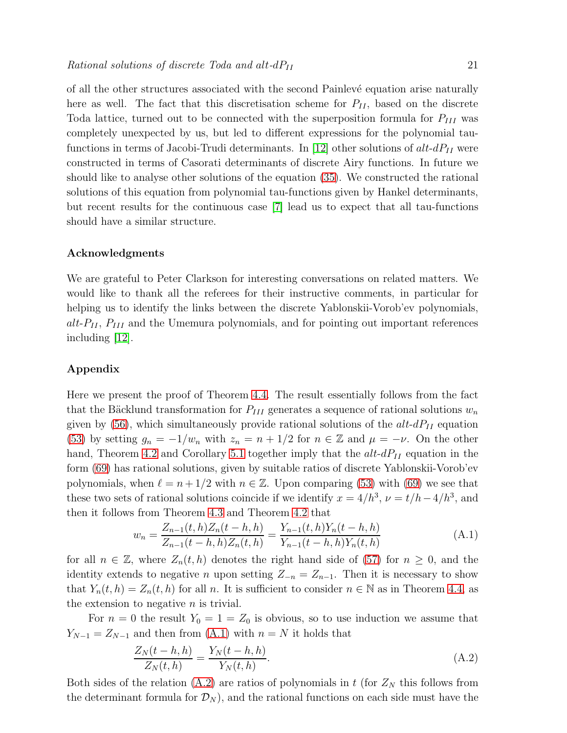of all the other structures associated with the second Painlev´e equation arise naturally here as well. The fact that this discretisation scheme for  $P_{II}$ , based on the discrete Toda lattice, turned out to be connected with the superposition formula for  $P_{III}$  was completely unexpected by us, but led to different expressions for the polynomial tau-functions in terms of Jacobi-Trudi determinants. In [\[12\]](#page-21-11) other solutions of  $alt-dP_{II}$  were constructed in terms of Casorati determinants of discrete Airy functions. In future we should like to analyse other solutions of the equation [\(35\)](#page-8-3). We constructed the rational solutions of this equation from polynomial tau-functions given by Hankel determinants, but recent results for the continuous case [\[7\]](#page-21-6) lead us to expect that all tau-functions should have a similar structure.

#### <span id="page-21-21"></span>Acknowledgments

<span id="page-21-0"></span>We are grateful to Peter Clarkson for interesting conversations on related matters. We would like to thank all the referees for their instructive comments, in particular for helping us to identify the links between the discrete Yablonskii-Vorob'ev polynomials,  $alt-P_{II}$ ,  $P_{III}$  and the Umemura polynomials, and for pointing out important references including [\[12\]](#page-21-11).

#### <span id="page-21-4"></span><span id="page-21-3"></span><span id="page-21-2"></span><span id="page-21-1"></span>Appendix

<span id="page-21-10"></span><span id="page-21-9"></span><span id="page-21-8"></span><span id="page-21-7"></span><span id="page-21-6"></span><span id="page-21-5"></span>Here we present the proof of Theorem [4.4.](#page-14-1) The result essentially follows from the fact that the Bäcklund transformation for  $P_{III}$  generates a sequence of rational solutions  $w_n$ given by  $(56)$ , which simultaneously provide rational solutions of the  $alt-dP<sub>II</sub>$  equation [\(53\)](#page-13-2) by setting  $g_n = -1/w_n$  with  $z_n = n + 1/2$  for  $n \in \mathbb{Z}$  and  $\mu = -\nu$ . On the other hand, Theorem [4.2](#page-12-0) and Corollary [5.1](#page-16-5) together imply that the  $alt-dP_{II}$  equation in the form [\(69\)](#page-16-3) has rational solutions, given by suitable ratios of discrete Yablonskii-Vorob'ev polynomials, when  $\ell = n + 1/2$  with  $n \in \mathbb{Z}$ . Upon comparing [\(53\)](#page-13-2) with [\(69\)](#page-16-3) we see that these two sets of rational solutions coincide if we identify  $x = 4/h^3$ ,  $\nu = t/h - 4/h^3$ , and then it follows from Theorem [4.3](#page-13-3) and Theorem [4.2](#page-12-0) that

$$
w_n = \frac{Z_{n-1}(t, h)Z_n(t-h, h)}{Z_{n-1}(t-h, h)Z_n(t, h)} = \frac{Y_{n-1}(t, h)Y_n(t-h, h)}{Y_{n-1}(t-h, h)Y_n(t, h)}
$$
(A.1)

<span id="page-21-16"></span><span id="page-21-15"></span><span id="page-21-14"></span><span id="page-21-13"></span><span id="page-21-12"></span><span id="page-21-11"></span>for all  $n \in \mathbb{Z}$ , where  $Z_n(t, h)$  denotes the right hand side of [\(57\)](#page-14-0) for  $n \geq 0$ , and the identity extends to negative *n* upon setting  $Z_{-n} = Z_{n-1}$ . Then it is necessary to show that  $Y_n(t, h) = Z_n(t, h)$  for all n. It is sufficient to consider  $n \in \mathbb{N}$  as in Theorem [4.4,](#page-14-1) as the extension to negative  $n$  is trivial.

<span id="page-21-19"></span><span id="page-21-18"></span><span id="page-21-17"></span>For  $n = 0$  the result  $Y_0 = 1 = Z_0$  is obvious, so to use induction we assume that  $Y_{N-1} = Z_{N-1}$  and then from [\(A.1\)](#page-20-0) with  $n = N$  it holds that

$$
\frac{Z_N(t - h, h)}{Z_N(t, h)} = \frac{Y_N(t - h, h)}{Y_N(t, h)}.
$$
\n(A.2)

<span id="page-21-20"></span>Both sides of the relation [\(A.2\)](#page-20-1) are ratios of polynomials in t (for  $Z_N$  this follows from the determinant formula for  $\mathcal{D}_N$ , and the rational functions on each side must have the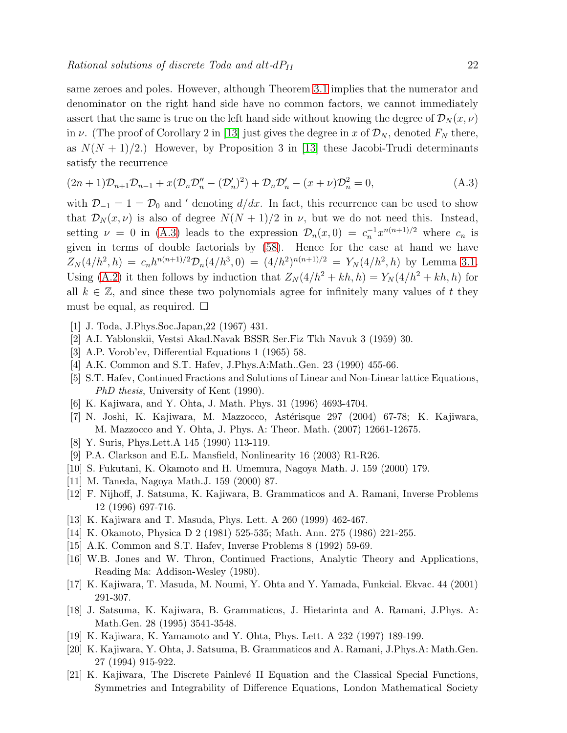<span id="page-22-1"></span><span id="page-22-0"></span>same zeroes and poles. However, although Theorem [3.1](#page-6-1) implies that the numerator and denominator on the right hand side have no common factors, we cannot immediately assert that the same is true on the left hand side without knowing the degree of  $\mathcal{D}_N(x,\nu)$ in  $\nu$ . (The proof of Corollary 2 in [\[13\]](#page-21-12) just gives the degree in x of  $\mathcal{D}_N$ , denoted  $F_N$  there, as  $N(N + 1)/2$ .) However, by Proposition 3 in [\[13\]](#page-21-12) these Jacobi-Trudi determinants satisfy the recurrence

<span id="page-22-3"></span><span id="page-22-2"></span>
$$
(2n+1)\mathcal{D}_{n+1}\mathcal{D}_{n-1} + x(\mathcal{D}_n\mathcal{D}_n'' - (\mathcal{D}_n')^2) + \mathcal{D}_n\mathcal{D}_n' - (x+\nu)\mathcal{D}_n^2 = 0,
$$
\n(A.3)

<span id="page-22-7"></span><span id="page-22-6"></span><span id="page-22-5"></span><span id="page-22-4"></span>with  $\mathcal{D}_{-1} = 1 = \mathcal{D}_0$  and ' denoting  $d/dx$ . In fact, this recurrence can be used to show that  $\mathcal{D}_N(x,\nu)$  is also of degree  $N(N+1)/2$  in  $\nu$ , but we do not need this. Instead, setting  $\nu = 0$  in [\(A.3\)](#page-21-21) leads to the expression  $\mathcal{D}_n(x,0) = c_n^{-1} x^{n(n+1)/2}$  where  $c_n$  is given in terms of double factorials by [\(58\)](#page-14-2). Hence for the case at hand we have  $Z_N(4/h^2, h) = c_n h^{n(n+1)/2} \mathcal{D}_n(4/h^3, 0) = (4/h^2)^{n(n+1)/2} = Y_N(4/h^2, h)$  by Lemma [3.1.](#page-6-0) Using [\(A.2\)](#page-20-1) it then follows by induction that  $Z_N(4/h^2 + kh, h) = Y_N(4/h^2 + kh, h)$  for all  $k \in \mathbb{Z}$ , and since these two polynomials agree for infinitely many values of t they must be equal, as required.  $\square$ 

- <span id="page-22-10"></span><span id="page-22-9"></span><span id="page-22-8"></span>[1] J. Toda, J.Phys.Soc.Japan,22 (1967) 431.
- <span id="page-22-11"></span>[2] A.I. Yablonskii, Vestsi Akad.Navak BSSR Ser.Fiz Tkh Navuk 3 (1959) 30.
- [3] A.P. Vorob'ev, Differential Equations 1 (1965) 58.
- [4] A.K. Common and S.T. Hafev, J.Phys.A:Math..Gen. 23 (1990) 455-66.
- [5] S.T. Hafev, Continued Fractions and Solutions of Linear and Non-Linear lattice Equations, *PhD thesis*, University of Kent (1990).
- [6] K. Kajiwara, and Y. Ohta, J. Math. Phys. 31 (1996) 4693-4704.
- [7] N. Joshi, K. Kajiwara, M. Mazzocco, Astérisque 297 (2004) 67-78; K. Kajiwara, M. Mazzocco and Y. Ohta, J. Phys. A: Theor. Math. (2007) 12661-12675.
- [8] Y. Suris, Phys.Lett.A 145 (1990) 113-119.
- [9] P.A. Clarkson and E.L. Mansfield, Nonlinearity 16 (2003) R1-R26.
- [10] S. Fukutani, K. Okamoto and H. Umemura, Nagoya Math. J. 159 (2000) 179.
- [11] M. Taneda, Nagoya Math.J. 159 (2000) 87.
- [12] F. Nijhoff, J. Satsuma, K. Kajiwara, B. Grammaticos and A. Ramani, Inverse Problems 12 (1996) 697-716.
- [13] K. Kajiwara and T. Masuda, Phys. Lett. A 260 (1999) 462-467.
- [14] K. Okamoto, Physica D 2 (1981) 525-535; Math. Ann. 275 (1986) 221-255.
- [15] A.K. Common and S.T. Hafev, Inverse Problems 8 (1992) 59-69.
- [16] W.B. Jones and W. Thron, Continued Fractions, Analytic Theory and Applications, Reading Ma: Addison-Wesley (1980).
- [17] K. Kajiwara, T. Masuda, M. Noumi, Y. Ohta and Y. Yamada, Funkcial. Ekvac. 44 (2001) 291-307.
- [18] J. Satsuma, K. Kajiwara, B. Grammaticos, J. Hietarinta and A. Ramani, J.Phys. A: Math.Gen. 28 (1995) 3541-3548.
- [19] K. Kajiwara, K. Yamamoto and Y. Ohta, Phys. Lett. A 232 (1997) 189-199.
- [20] K. Kajiwara, Y. Ohta, J. Satsuma, B. Grammaticos and A. Ramani, J.Phys.A: Math.Gen. 27 (1994) 915-922.
- [21] K. Kajiwara, The Discrete Painlevé II Equation and the Classical Special Functions, Symmetries and Integrability of Difference Equations, London Mathematical Society